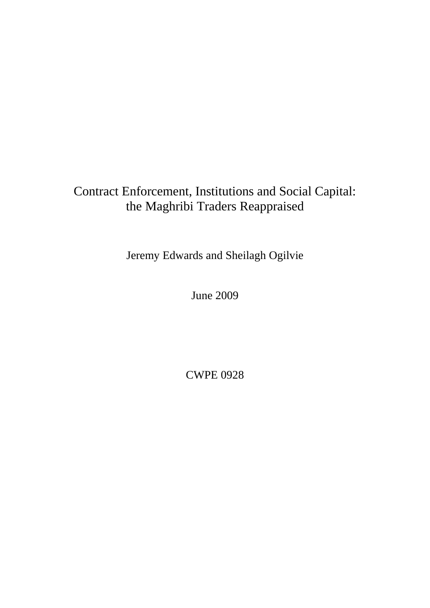# Contract Enforcement, Institutions and Social Capital: the Maghribi Traders Reappraised

Jeremy Edwards and Sheilagh Ogilvie

June 2009

CWPE 0928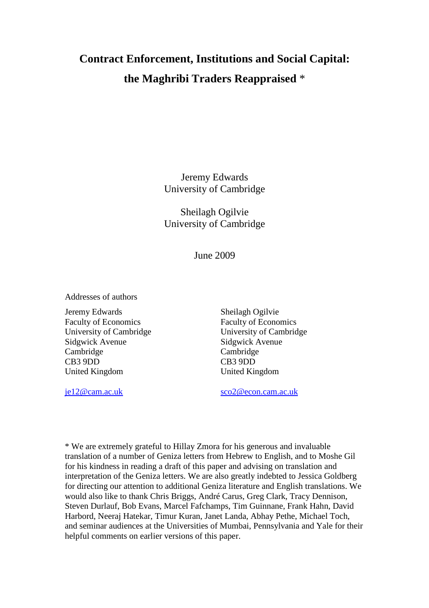# **Contract Enforcement, Institutions and Social Capital: the Maghribi Traders Reappraised** \*

Jeremy Edwards University of Cambridge

Sheilagh Ogilvie University of Cambridge

June 2009

Addresses of authors

Jeremy Edwards Sheilagh Ogilvie Faculty of Economics Faculty of Economics University of Cambridge University of Cambridge Sidgwick Avenue Sidgwick Avenue Cambridge Cambridge CB3 9DD CB3 9DD United Kingdom United Kingdom

je12@cam.ac.uk sco2@econ.cam.ac.uk

\* We are extremely grateful to Hillay Zmora for his generous and invaluable translation of a number of Geniza letters from Hebrew to English, and to Moshe Gil for his kindness in reading a draft of this paper and advising on translation and interpretation of the Geniza letters. We are also greatly indebted to Jessica Goldberg for directing our attention to additional Geniza literature and English translations. We would also like to thank Chris Briggs, André Carus, Greg Clark, Tracy Dennison, Steven Durlauf, Bob Evans, Marcel Fafchamps, Tim Guinnane, Frank Hahn, David Harbord, Neeraj Hatekar, Timur Kuran, Janet Landa, Abhay Pethe, Michael Toch, and seminar audiences at the Universities of Mumbai, Pennsylvania and Yale for their helpful comments on earlier versions of this paper.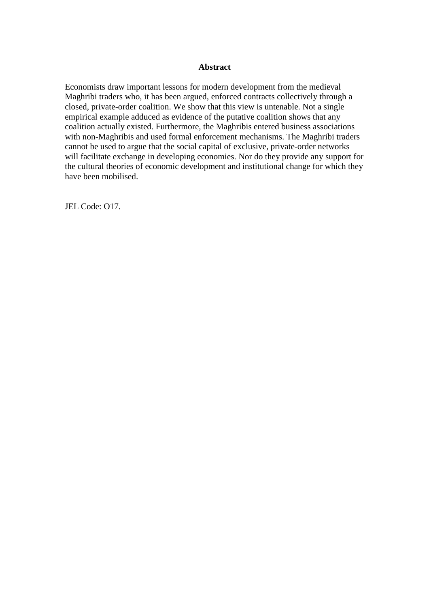### **Abstract**

Economists draw important lessons for modern development from the medieval Maghribi traders who, it has been argued, enforced contracts collectively through a closed, private-order coalition. We show that this view is untenable. Not a single empirical example adduced as evidence of the putative coalition shows that any coalition actually existed. Furthermore, the Maghribis entered business associations with non-Maghribis and used formal enforcement mechanisms. The Maghribi traders cannot be used to argue that the social capital of exclusive, private-order networks will facilitate exchange in developing economies. Nor do they provide any support for the cultural theories of economic development and institutional change for which they have been mobilised.

JEL Code: O17.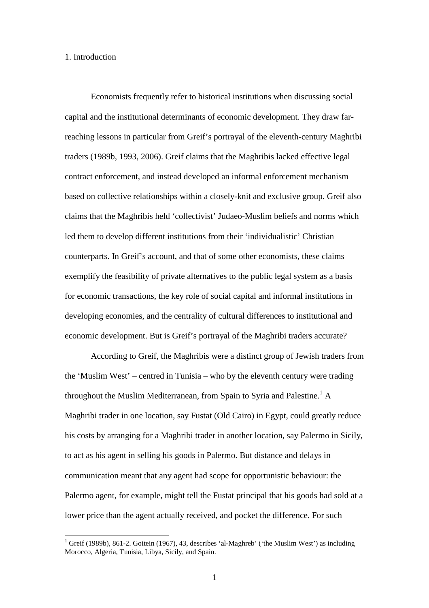#### 1. Introduction

Economists frequently refer to historical institutions when discussing social capital and the institutional determinants of economic development. They draw farreaching lessons in particular from Greif's portrayal of the eleventh-century Maghribi traders (1989b, 1993, 2006). Greif claims that the Maghribis lacked effective legal contract enforcement, and instead developed an informal enforcement mechanism based on collective relationships within a closely-knit and exclusive group. Greif also claims that the Maghribis held 'collectivist' Judaeo-Muslim beliefs and norms which led them to develop different institutions from their 'individualistic' Christian counterparts. In Greif's account, and that of some other economists, these claims exemplify the feasibility of private alternatives to the public legal system as a basis for economic transactions, the key role of social capital and informal institutions in developing economies, and the centrality of cultural differences to institutional and economic development. But is Greif's portrayal of the Maghribi traders accurate?

According to Greif, the Maghribis were a distinct group of Jewish traders from the 'Muslim West' – centred in Tunisia – who by the eleventh century were trading throughout the Muslim Mediterranean, from Spain to Syria and Palestine.<sup>1</sup> A Maghribi trader in one location, say Fustat (Old Cairo) in Egypt, could greatly reduce his costs by arranging for a Maghribi trader in another location, say Palermo in Sicily, to act as his agent in selling his goods in Palermo. But distance and delays in communication meant that any agent had scope for opportunistic behaviour: the Palermo agent, for example, might tell the Fustat principal that his goods had sold at a lower price than the agent actually received, and pocket the difference. For such

 1 Greif (1989b), 861-2. Goitein (1967), 43, describes 'al-Maghreb' ('the Muslim West') as including Morocco, Algeria, Tunisia, Libya, Sicily, and Spain.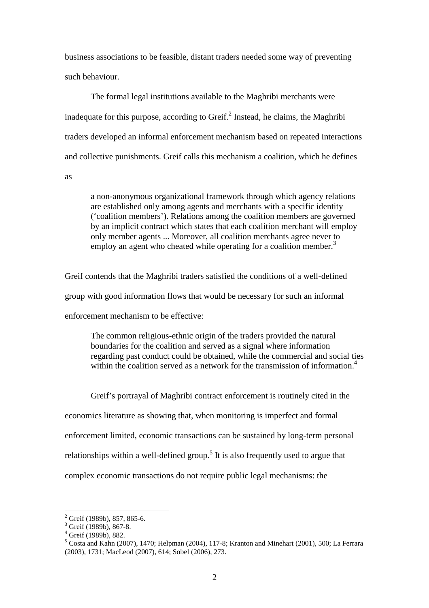business associations to be feasible, distant traders needed some way of preventing such behaviour.

The formal legal institutions available to the Maghribi merchants were inadequate for this purpose, according to Greif. $^2$  Instead, he claims, the Maghribi traders developed an informal enforcement mechanism based on repeated interactions and collective punishments. Greif calls this mechanism a coalition, which he defines as

a non-anonymous organizational framework through which agency relations are established only among agents and merchants with a specific identity ('coalition members'). Relations among the coalition members are governed by an implicit contract which states that each coalition merchant will employ only member agents ... Moreover, all coalition merchants agree never to employ an agent who cheated while operating for a coalition member.<sup>3</sup>

Greif contends that the Maghribi traders satisfied the conditions of a well-defined group with good information flows that would be necessary for such an informal enforcement mechanism to be effective:

The common religious-ethnic origin of the traders provided the natural boundaries for the coalition and served as a signal where information regarding past conduct could be obtained, while the commercial and social ties within the coalition served as a network for the transmission of information.<sup>4</sup>

Greif's portrayal of Maghribi contract enforcement is routinely cited in the economics literature as showing that, when monitoring is imperfect and formal enforcement limited, economic transactions can be sustained by long-term personal relationships within a well-defined group.<sup>5</sup> It is also frequently used to argue that complex economic transactions do not require public legal mechanisms: the

<sup>&</sup>lt;sup>2</sup> Greif (1989b), 857, 865-6.

 $3$  Greif (1989b), 867-8.

<sup>4</sup> Greif (1989b), 882.

<sup>&</sup>lt;sup>5</sup> Costa and Kahn (2007), 1470; Helpman (2004), 117-8; Kranton and Minehart (2001), 500; La Ferrara (2003), 1731; MacLeod (2007), 614; Sobel (2006), 273.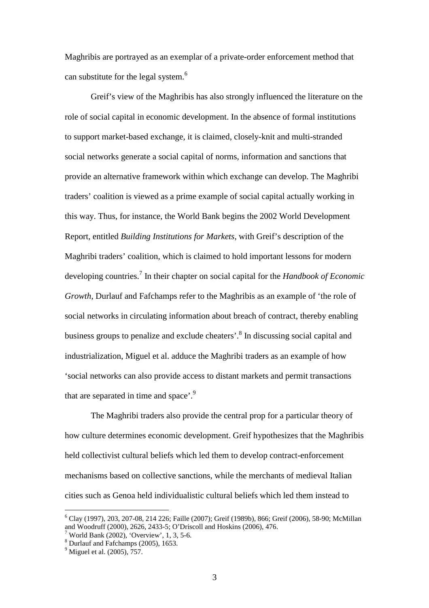Maghribis are portrayed as an exemplar of a private-order enforcement method that can substitute for the legal system.<sup>6</sup>

Greif's view of the Maghribis has also strongly influenced the literature on the role of social capital in economic development. In the absence of formal institutions to support market-based exchange, it is claimed, closely-knit and multi-stranded social networks generate a social capital of norms, information and sanctions that provide an alternative framework within which exchange can develop. The Maghribi traders' coalition is viewed as a prime example of social capital actually working in this way. Thus, for instance, the World Bank begins the 2002 World Development Report, entitled *Building Institutions for Markets*, with Greif's description of the Maghribi traders' coalition, which is claimed to hold important lessons for modern developing countries.<sup>7</sup> In their chapter on social capital for the *Handbook of Economic Growth*, Durlauf and Fafchamps refer to the Maghribis as an example of 'the role of social networks in circulating information about breach of contract, thereby enabling business groups to penalize and exclude cheaters'.<sup>8</sup> In discussing social capital and industrialization, Miguel et al. adduce the Maghribi traders as an example of how 'social networks can also provide access to distant markets and permit transactions that are separated in time and space'.<sup>9</sup>

The Maghribi traders also provide the central prop for a particular theory of how culture determines economic development. Greif hypothesizes that the Maghribis held collectivist cultural beliefs which led them to develop contract-enforcement mechanisms based on collective sanctions, while the merchants of medieval Italian cities such as Genoa held individualistic cultural beliefs which led them instead to

 6 Clay (1997), 203, 207-08, 214 226; Faille (2007); Greif (1989b), 866; Greif (2006), 58-90; McMillan and Woodruff (2000), 2626, 2433-5; O'Driscoll and Hoskins (2006), 476.

 $7$  World Bank (2002), 'Overview', 1, 3, 5-6.

<sup>8</sup> Durlauf and Fafchamps (2005), 1653.

 $<sup>9</sup>$  Miguel et al. (2005), 757.</sup>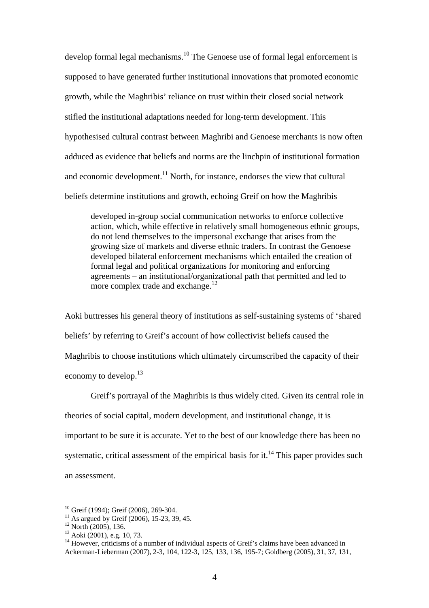develop formal legal mechanisms.<sup>10</sup> The Genoese use of formal legal enforcement is supposed to have generated further institutional innovations that promoted economic growth, while the Maghribis' reliance on trust within their closed social network stifled the institutional adaptations needed for long-term development. This hypothesised cultural contrast between Maghribi and Genoese merchants is now often adduced as evidence that beliefs and norms are the linchpin of institutional formation and economic development.<sup>11</sup> North, for instance, endorses the view that cultural beliefs determine institutions and growth, echoing Greif on how the Maghribis

developed in-group social communication networks to enforce collective action, which, while effective in relatively small homogeneous ethnic groups, do not lend themselves to the impersonal exchange that arises from the growing size of markets and diverse ethnic traders. In contrast the Genoese developed bilateral enforcement mechanisms which entailed the creation of formal legal and political organizations for monitoring and enforcing agreements – an institutional/organizational path that permitted and led to more complex trade and exchange.<sup>12</sup>

Aoki buttresses his general theory of institutions as self-sustaining systems of 'shared beliefs' by referring to Greif's account of how collectivist beliefs caused the Maghribis to choose institutions which ultimately circumscribed the capacity of their economy to develop.<sup>13</sup>

Greif's portrayal of the Maghribis is thus widely cited. Given its central role in theories of social capital, modern development, and institutional change, it is important to be sure it is accurate. Yet to the best of our knowledge there has been no systematic, critical assessment of the empirical basis for it.<sup>14</sup> This paper provides such an assessment.

 $10$  Greif (1994); Greif (2006), 269-304.

<sup>&</sup>lt;sup>11</sup> As argued by Greif (2006), 15-23, 39, 45.

<sup>&</sup>lt;sup>12</sup> North (2005), 136.

 $13$  Aoki (2001), e.g. 10, 73.

<sup>&</sup>lt;sup>14</sup> However, criticisms of a number of individual aspects of Greif's claims have been advanced in Ackerman-Lieberman (2007), 2-3, 104, 122-3, 125, 133, 136, 195-7; Goldberg (2005), 31, 37, 131,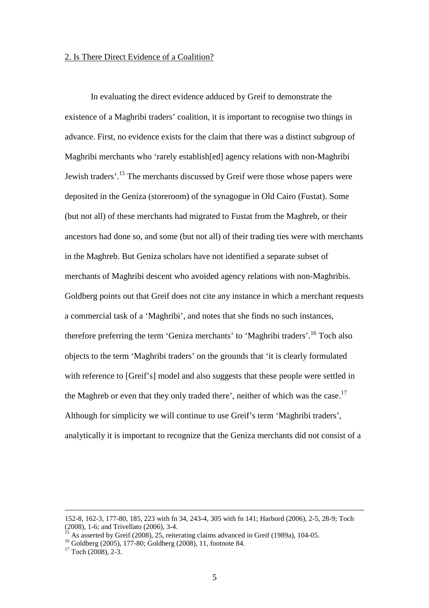#### 2. Is There Direct Evidence of a Coalition?

In evaluating the direct evidence adduced by Greif to demonstrate the existence of a Maghribi traders' coalition, it is important to recognise two things in advance. First, no evidence exists for the claim that there was a distinct subgroup of Maghribi merchants who 'rarely establish[ed] agency relations with non-Maghribi Jewish traders'.<sup>15</sup> The merchants discussed by Greif were those whose papers were deposited in the Geniza (storeroom) of the synagogue in Old Cairo (Fustat). Some (but not all) of these merchants had migrated to Fustat from the Maghreb, or their ancestors had done so, and some (but not all) of their trading ties were with merchants in the Maghreb. But Geniza scholars have not identified a separate subset of merchants of Maghribi descent who avoided agency relations with non-Maghribis. Goldberg points out that Greif does not cite any instance in which a merchant requests a commercial task of a 'Maghribi', and notes that she finds no such instances, therefore preferring the term 'Geniza merchants' to 'Maghribi traders'.<sup>16</sup> Toch also objects to the term 'Maghribi traders' on the grounds that 'it is clearly formulated with reference to [Greif's] model and also suggests that these people were settled in the Maghreb or even that they only traded there', neither of which was the case.<sup>17</sup> Although for simplicity we will continue to use Greif's term 'Maghribi traders', analytically it is important to recognize that the Geniza merchants did not consist of a

<sup>152-8, 162-3, 177-80, 185, 223</sup> with fn 34, 243-4, 305 with fn 141; Harbord (2006), 2-5, 28-9; Toch (2008), 1-6; and Trivellato (2006), 3-4.

<sup>15</sup> As asserted by Greif (2008), 25, reiterating claims advanced in Greif (1989a), 104-05.

<sup>&</sup>lt;sup>16</sup> Goldberg (2005), 177-80; Goldberg (2008), 11, footnote 84.

 $17$  Toch (2008), 2-3.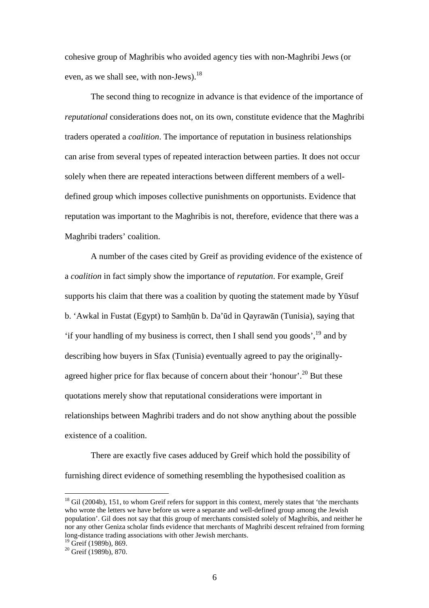cohesive group of Maghribis who avoided agency ties with non-Maghribi Jews (or even, as we shall see, with non-Jews).<sup>18</sup>

The second thing to recognize in advance is that evidence of the importance of *reputational* considerations does not, on its own, constitute evidence that the Maghribi traders operated a *coalition*. The importance of reputation in business relationships can arise from several types of repeated interaction between parties. It does not occur solely when there are repeated interactions between different members of a welldefined group which imposes collective punishments on opportunists. Evidence that reputation was important to the Maghribis is not, therefore, evidence that there was a Maghribi traders' coalition.

A number of the cases cited by Greif as providing evidence of the existence of a *coalition* in fact simply show the importance of *reputation*. For example, Greif supports his claim that there was a coalition by quoting the statement made by Yūsuf b. 'Awkal in Fustat (Egypt) to Samhūn b. Da'ūd in Qayrawān (Tunisia), saying that 'if your handling of my business is correct, then I shall send you goods',  $^{19}$  and by describing how buyers in Sfax (Tunisia) eventually agreed to pay the originallyagreed higher price for flax because of concern about their 'honour'.<sup>20</sup> But these quotations merely show that reputational considerations were important in relationships between Maghribi traders and do not show anything about the possible existence of a coalition.

There are exactly five cases adduced by Greif which hold the possibility of furnishing direct evidence of something resembling the hypothesised coalition as

 $18$  Gil (2004b), 151, to whom Greif refers for support in this context, merely states that 'the merchants who wrote the letters we have before us were a separate and well-defined group among the Jewish population'. Gil does not say that this group of merchants consisted solely of Maghribis, and neither he nor any other Geniza scholar finds evidence that merchants of Maghribi descent refrained from forming long-distance trading associations with other Jewish merchants.

<sup>&</sup>lt;sup>19</sup> Greif (1989b), 869.

<sup>20</sup> Greif (1989b), 870.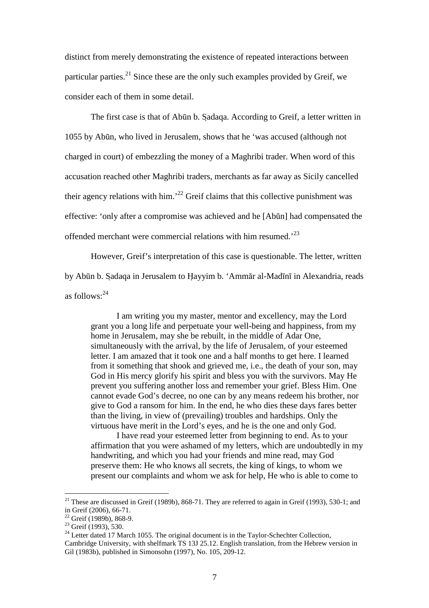distinct from merely demonstrating the existence of repeated interactions between particular parties.<sup>21</sup> Since these are the only such examples provided by Greif, we consider each of them in some detail.

The first case is that of Abūn b. Sadaqa. According to Greif, a letter written in 1055 by Abūn, who lived in Jerusalem, shows that he 'was accused (although not charged in court) of embezzling the money of a Maghribi trader. When word of this accusation reached other Maghribi traders, merchants as far away as Sicily cancelled their agency relations with him.<sup> $22$ </sup> Greif claims that this collective punishment was effective: 'only after a compromise was achieved and he [Abūn] had compensated the offended merchant were commercial relations with him resumed.<sup>23</sup>

However, Greif's interpretation of this case is questionable. The letter, written by Abūn b. Sadaqa in Jerusalem to Hayyim b. 'Ammār al-Madīnī in Alexandria, reads as follows:<sup>24</sup>

 I am writing you my master, mentor and excellency, may the Lord grant you a long life and perpetuate your well-being and happiness, from my home in Jerusalem, may she be rebuilt, in the middle of Adar One, simultaneously with the arrival, by the life of Jerusalem, of your esteemed letter. I am amazed that it took one and a half months to get here. I learned from it something that shook and grieved me, i.e., the death of your son, may God in His mercy glorify his spirit and bless you with the survivors. May He prevent you suffering another loss and remember your grief. Bless Him. One cannot evade God's decree, no one can by any means redeem his brother, nor give to God a ransom for him. In the end, he who dies these days fares better than the living, in view of (prevailing) troubles and hardships. Only the virtuous have merit in the Lord's eyes, and he is the one and only God.

 I have read your esteemed letter from beginning to end. As to your affirmation that you were ashamed of my letters, which are undoubtedly in my handwriting, and which you had your friends and mine read, may God preserve them: He who knows all secrets, the king of kings, to whom we present our complaints and whom we ask for help, He who is able to come to

<sup>&</sup>lt;sup>21</sup> These are discussed in Greif (1989b), 868-71. They are referred to again in Greif (1993), 530-1; and in Greif (2006), 66-71.

 $22$  Greif (1989b), 868-9.

 $23$  Greif (1993), 530.

 $24$  Letter dated 17 March 1055. The original document is in the Taylor-Schechter Collection, Cambridge University, with shelfmark TS 13J 25.12. English translation, from the Hebrew version in Gil (1983b), published in Simonsohn (1997), No. 105, 209-12.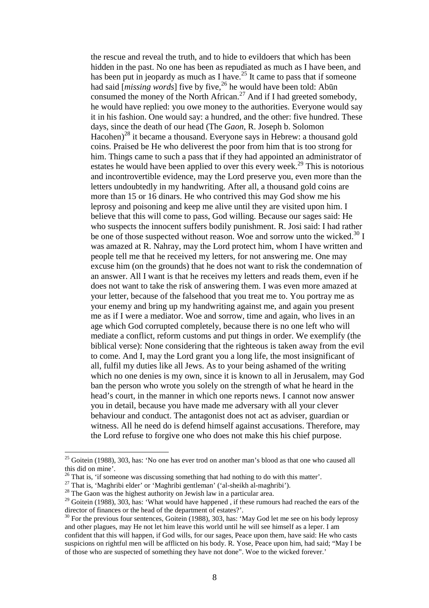the rescue and reveal the truth, and to hide to evildoers that which has been hidden in the past. No one has been as repudiated as much as I have been, and has been put in jeopardy as much as I have.<sup>25</sup> It came to pass that if someone had said [*missing words*] five by five,<sup>26</sup> he would have been told: Abūn consumed the money of the North African.<sup>27</sup> And if I had greeted somebody, he would have replied: you owe money to the authorities. Everyone would say it in his fashion. One would say: a hundred, and the other: five hundred. These days, since the death of our head (The *Gaon*, R. Joseph b. Solomon Hacohen)<sup>28</sup> it became a thousand. Everyone says in Hebrew: a thousand gold coins. Praised be He who deliverest the poor from him that is too strong for him. Things came to such a pass that if they had appointed an administrator of estates he would have been applied to over this every week.<sup>29</sup> This is notorious and incontrovertible evidence, may the Lord preserve you, even more than the letters undoubtedly in my handwriting. After all, a thousand gold coins are more than 15 or 16 dinars. He who contrived this may God show me his leprosy and poisoning and keep me alive until they are visited upon him. I believe that this will come to pass, God willing. Because our sages said: He who suspects the innocent suffers bodily punishment. R. Josi said: I had rather be one of those suspected without reason. Woe and sorrow unto the wicked.<sup>30</sup> I was amazed at R. Nahray, may the Lord protect him, whom I have written and people tell me that he received my letters, for not answering me. One may excuse him (on the grounds) that he does not want to risk the condemnation of an answer. All I want is that he receives my letters and reads them, even if he does not want to take the risk of answering them. I was even more amazed at your letter, because of the falsehood that you treat me to. You portray me as your enemy and bring up my handwriting against me, and again you present me as if I were a mediator. Woe and sorrow, time and again, who lives in an age which God corrupted completely, because there is no one left who will mediate a conflict, reform customs and put things in order. We exemplify (the biblical verse): None considering that the righteous is taken away from the evil to come. And I, may the Lord grant you a long life, the most insignificant of all, fulfil my duties like all Jews. As to your being ashamed of the writing which no one denies is my own, since it is known to all in Jerusalem, may God ban the person who wrote you solely on the strength of what he heard in the head's court, in the manner in which one reports news. I cannot now answer you in detail, because you have made me adversary with all your clever behaviour and conduct. The antagonist does not act as adviser, guardian or witness. All he need do is defend himself against accusations. Therefore, may the Lord refuse to forgive one who does not make this his chief purpose.

 $25$  Goitein (1988), 303, has: 'No one has ever trod on another man's blood as that one who caused all this did on mine'.

 $26$  That is, 'if someone was discussing something that had nothing to do with this matter'.

<sup>&</sup>lt;sup>27</sup> That is, 'Maghribi elder' or 'Maghribi gentleman' ('al-sheikh al-maghribi').

<sup>&</sup>lt;sup>28</sup> The Gaon was the highest authority on Jewish law in a particular area.

<sup>&</sup>lt;sup>29</sup> Goitein (1988), 303, has: 'What would have happened , if these rumours had reached the ears of the director of finances or the head of the department of estates?'.

<sup>&</sup>lt;sup>30</sup> For the previous four sentences, Goitein (1988), 303, has: 'May God let me see on his body leprosy and other plagues, may He not let him leave this world until he will see himself as a leper. I am confident that this will happen, if God wills, for our sages, Peace upon them, have said: He who casts suspicions on rightful men will be afflicted on his body. R. Yose, Peace upon him, had said; "May I be of those who are suspected of something they have not done". Woe to the wicked forever.'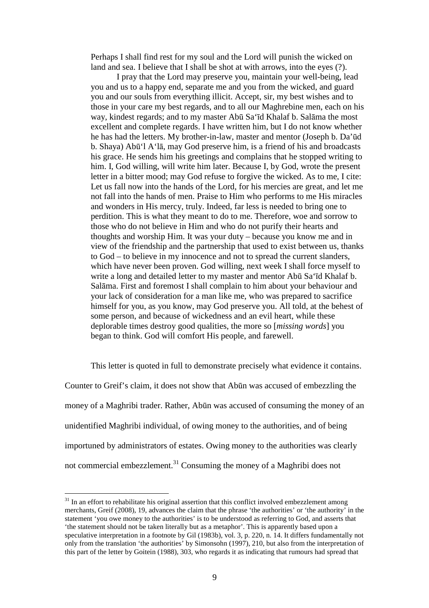Perhaps I shall find rest for my soul and the Lord will punish the wicked on land and sea. I believe that I shall be shot at with arrows, into the eyes (?).

 I pray that the Lord may preserve you, maintain your well-being, lead you and us to a happy end, separate me and you from the wicked, and guard you and our souls from everything illicit. Accept, sir, my best wishes and to those in your care my best regards, and to all our Maghrebine men, each on his way, kindest regards; and to my master Abū Sa'īd Khalaf b. Salāma the most excellent and complete regards. I have written him, but I do not know whether he has had the letters. My brother-in-law, master and mentor (Joseph b. Da'ūd b. Shaya) Abū'l A'lā, may God preserve him, is a friend of his and broadcasts his grace. He sends him his greetings and complains that he stopped writing to him. I, God willing, will write him later. Because I, by God, wrote the present letter in a bitter mood; may God refuse to forgive the wicked. As to me, I cite: Let us fall now into the hands of the Lord, for his mercies are great, and let me not fall into the hands of men. Praise to Him who performs to me His miracles and wonders in His mercy, truly. Indeed, far less is needed to bring one to perdition. This is what they meant to do to me. Therefore, woe and sorrow to those who do not believe in Him and who do not purify their hearts and thoughts and worship Him. It was your duty – because you know me and in view of the friendship and the partnership that used to exist between us, thanks to God – to believe in my innocence and not to spread the current slanders, which have never been proven. God willing, next week I shall force myself to write a long and detailed letter to my master and mentor Abū Sa'īd Khalaf b. Salāma. First and foremost I shall complain to him about your behaviour and your lack of consideration for a man like me, who was prepared to sacrifice himself for you, as you know, may God preserve you. All told, at the behest of some person, and because of wickedness and an evil heart, while these deplorable times destroy good qualities, the more so [*missing words*] you began to think. God will comfort His people, and farewell.

This letter is quoted in full to demonstrate precisely what evidence it contains. Counter to Greif's claim, it does not show that Abūn was accused of embezzling the money of a Maghribi trader. Rather, Abūn was accused of consuming the money of an unidentified Maghribi individual, of owing money to the authorities, and of being importuned by administrators of estates. Owing money to the authorities was clearly not commercial embezzlement.<sup>31</sup> Consuming the money of a Maghribi does not

 $31$  In an effort to rehabilitate his original assertion that this conflict involved embezzlement among merchants, Greif (2008), 19, advances the claim that the phrase 'the authorities' or 'the authority' in the statement 'you owe money to the authorities' is to be understood as referring to God, and asserts that 'the statement should not be taken literally but as a metaphor'. This is apparently based upon a speculative interpretation in a footnote by Gil (1983b), vol. 3, p. 220, n. 14. It differs fundamentally not only from the translation 'the authorities' by Simonsohn (1997), 210, but also from the interpretation of this part of the letter by Goitein (1988), 303, who regards it as indicating that rumours had spread that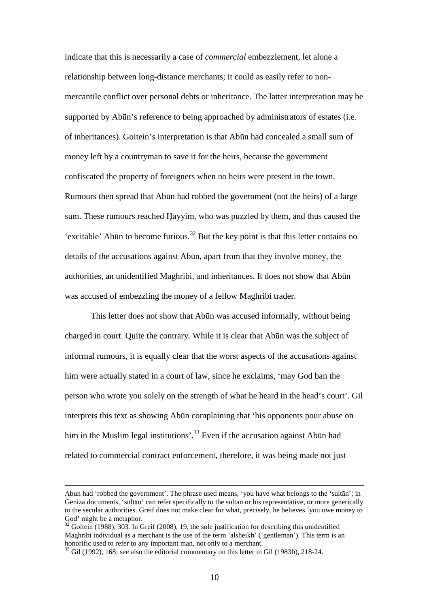indicate that this is necessarily a case of *commercial* embezzlement, let alone a relationship between long-distance merchants; it could as easily refer to nonmercantile conflict over personal debts or inheritance. The latter interpretation may be supported by Abūn's reference to being approached by administrators of estates (i.e. of inheritances). Goitein's interpretation is that Abūn had concealed a small sum of money left by a countryman to save it for the heirs, because the government confiscated the property of foreigners when no heirs were present in the town. Rumours then spread that Abūn had robbed the government (not the heirs) of a large sum. These rumours reached Hayyim, who was puzzled by them, and thus caused the 'excitable' Abūn to become furious.<sup>32</sup> But the key point is that this letter contains no details of the accusations against Abūn, apart from that they involve money, the authorities, an unidentified Maghribi, and inheritances. It does not show that Abūn was accused of embezzling the money of a fellow Maghribi trader.

This letter does not show that Abūn was accused informally, without being charged in court. Quite the contrary. While it is clear that Abūn was the subject of informal rumours, it is equally clear that the worst aspects of the accusations against him were actually stated in a court of law, since he exclaims, 'may God ban the person who wrote you solely on the strength of what he heard in the head's court'. Gil interprets this text as showing Abūn complaining that 'his opponents pour abuse on him in the Muslim legal institutions'.<sup>33</sup> Even if the accusation against Abūn had related to commercial contract enforcement, therefore, it was being made not just

Abun had 'robbed the government'. The phrase used means, 'you have what belongs to the 'sultān'; in Geniza documents, 'sultān' can refer specifically to the sultan or his representative, or more generically to the secular authorities. Greif does not make clear for what, precisely, he believes 'you owe money to God' might be a metaphor.

 $32$  Goitein (1988), 303. In Greif (2008), 19, the sole justification for describing this unidentified Maghribi individual as a merchant is the use of the term 'alsheikh' ('gentleman'). This term is an honorific used to refer to any important man, not only to a merchant.

<sup>&</sup>lt;sup>33</sup> Gil (1992), 168; see also the editorial commentary on this letter in Gil (1983b), 218-24.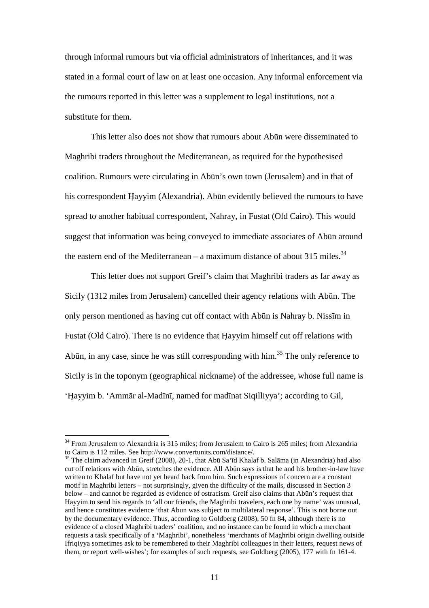through informal rumours but via official administrators of inheritances, and it was stated in a formal court of law on at least one occasion. Any informal enforcement via the rumours reported in this letter was a supplement to legal institutions, not a substitute for them.

This letter also does not show that rumours about Abūn were disseminated to Maghribi traders throughout the Mediterranean, as required for the hypothesised coalition. Rumours were circulating in Abūn's own town (Jerusalem) and in that of his correspondent Hayyim (Alexandria). Abūn evidently believed the rumours to have spread to another habitual correspondent, Nahray, in Fustat (Old Cairo). This would suggest that information was being conveyed to immediate associates of Abūn around the eastern end of the Mediterranean – a maximum distance of about 315 miles.<sup>34</sup>

This letter does not support Greif's claim that Maghribi traders as far away as Sicily (1312 miles from Jerusalem) cancelled their agency relations with Abūn. The only person mentioned as having cut off contact with Abūn is Nahray b. Nissīm in Fustat (Old Cairo). There is no evidence that Hayyim himself cut off relations with Abūn, in any case, since he was still corresponding with him.<sup>35</sup> The only reference to Sicily is in the toponym (geographical nickname) of the addressee, whose full name is 'Hayyim b. 'Ammār al-Madīnī, named for madīnat Siqilliyya'; according to Gil,

 $34$  From Jerusalem to Alexandria is 315 miles; from Jerusalem to Cairo is 265 miles; from Alexandria to Cairo is 112 miles. See http://www.convertunits.com/distance/.

<sup>35</sup> The claim advanced in Greif (2008), 20-1, that Abū Sa'īd Khalaf b. Salāma (in Alexandria) had also cut off relations with Abūn, stretches the evidence. All Abūn says is that he and his brother-in-law have written to Khalaf but have not yet heard back from him. Such expressions of concern are a constant motif in Maghribi letters – not surprisingly, given the difficulty of the mails, discussed in Section 3 below – and cannot be regarded as evidence of ostracism. Greif also claims that Abūn's request that Hayyim to send his regards to 'all our friends, the Maghribi travelers, each one by name' was unusual, and hence constitutes evidence 'that Abun was subject to multilateral response'. This is not borne out by the documentary evidence. Thus, according to Goldberg (2008), 50 fn 84, although there is no evidence of a closed Maghribi traders' coalition, and no instance can be found in which a merchant requests a task specifically of a 'Maghribi', nonetheless 'merchants of Maghribi origin dwelling outside Ifriqiyya sometimes ask to be remembered to their Maghribi colleagues in their letters, request news of them, or report well-wishes'; for examples of such requests, see Goldberg (2005), 177 with fn 161-4.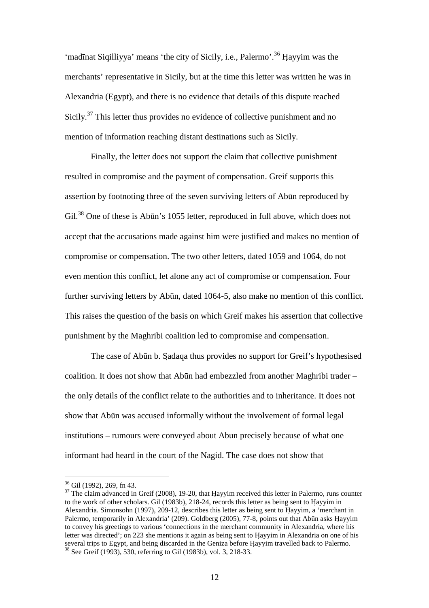'madīnat Siqilliyya' means 'the city of Sicily, i.e., Palermo'.<sup>36</sup> Hayyim was the merchants' representative in Sicily, but at the time this letter was written he was in Alexandria (Egypt), and there is no evidence that details of this dispute reached Sicily.<sup>37</sup> This letter thus provides no evidence of collective punishment and no mention of information reaching distant destinations such as Sicily.

Finally, the letter does not support the claim that collective punishment resulted in compromise and the payment of compensation. Greif supports this assertion by footnoting three of the seven surviving letters of Abūn reproduced by Gil.<sup>38</sup> One of these is Abūn's 1055 letter, reproduced in full above, which does not accept that the accusations made against him were justified and makes no mention of compromise or compensation. The two other letters, dated 1059 and 1064, do not even mention this conflict, let alone any act of compromise or compensation. Four further surviving letters by Abūn, dated 1064-5, also make no mention of this conflict. This raises the question of the basis on which Greif makes his assertion that collective punishment by the Maghribi coalition led to compromise and compensation.

The case of Abūn b. Sadaqa thus provides no support for Greif's hypothesised coalition. It does not show that Abūn had embezzled from another Maghribi trader – the only details of the conflict relate to the authorities and to inheritance. It does not show that Abūn was accused informally without the involvement of formal legal institutions – rumours were conveyed about Abun precisely because of what one informant had heard in the court of the Nagid. The case does not show that

 $36$  Gil (1992), 269, fn 43.

 $37$  The claim advanced in Greif (2008), 19-20, that Hayyim received this letter in Palermo, runs counter to the work of other scholars. Gil (1983b), 218-24, records this letter as being sent to Hayyim in Alexandria. Simonsohn (1997), 209-12, describes this letter as being sent to Hayyim, a 'merchant in Palermo, temporarily in Alexandria' (209). Goldberg (2005), 77-8, points out that Abūn asks Hayyim to convey his greetings to various 'connections in the merchant community in Alexandria, where his letter was directed'; on 223 she mentions it again as being sent to Hayyim in Alexandria on one of his several trips to Egypt, and being discarded in the Geniza before Hayyim travelled back to Palermo.

<sup>38</sup> See Greif (1993), 530, referring to Gil (1983b), vol. 3, 218-33.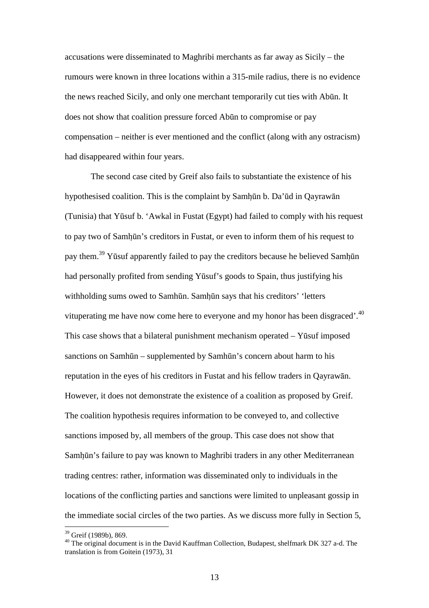accusations were disseminated to Maghribi merchants as far away as Sicily – the rumours were known in three locations within a 315-mile radius, there is no evidence the news reached Sicily, and only one merchant temporarily cut ties with Abūn. It does not show that coalition pressure forced Abūn to compromise or pay compensation – neither is ever mentioned and the conflict (along with any ostracism) had disappeared within four years.

The second case cited by Greif also fails to substantiate the existence of his hypothesised coalition. This is the complaint by Samhūn b. Da'ūd in Qayrawān (Tunisia) that Yūsuf b. 'Awkal in Fustat (Egypt) had failed to comply with his request to pay two of Samhūn's creditors in Fustat, or even to inform them of his request to pay them.<sup>39</sup> Yūsuf apparently failed to pay the creditors because he believed Samhūn had personally profited from sending Yūsuf's goods to Spain, thus justifying his withholding sums owed to Samhūn. Samhūn says that his creditors' 'letters vituperating me have now come here to everyone and my honor has been disgraced'.<sup>40</sup> This case shows that a bilateral punishment mechanism operated – Yūsuf imposed sanctions on Samhūn – supplemented by Samhūn's concern about harm to his reputation in the eyes of his creditors in Fustat and his fellow traders in Qayrawān. However, it does not demonstrate the existence of a coalition as proposed by Greif. The coalition hypothesis requires information to be conveyed to, and collective sanctions imposed by, all members of the group. This case does not show that Samhūn's failure to pay was known to Maghribi traders in any other Mediterranean trading centres: rather, information was disseminated only to individuals in the locations of the conflicting parties and sanctions were limited to unpleasant gossip in the immediate social circles of the two parties. As we discuss more fully in Section 5,

<sup>39</sup> Greif (1989b), 869.

<sup>&</sup>lt;sup>40</sup> The original document is in the David Kauffman Collection, Budapest, shelfmark DK 327 a-d. The translation is from Goitein (1973), 31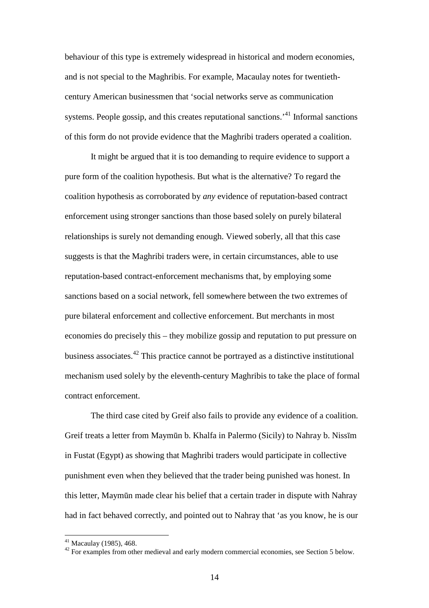behaviour of this type is extremely widespread in historical and modern economies, and is not special to the Maghribis. For example, Macaulay notes for twentiethcentury American businessmen that 'social networks serve as communication systems. People gossip, and this creates reputational sanctions.<sup>41</sup> Informal sanctions of this form do not provide evidence that the Maghribi traders operated a coalition.

It might be argued that it is too demanding to require evidence to support a pure form of the coalition hypothesis. But what is the alternative? To regard the coalition hypothesis as corroborated by *any* evidence of reputation-based contract enforcement using stronger sanctions than those based solely on purely bilateral relationships is surely not demanding enough. Viewed soberly, all that this case suggests is that the Maghribi traders were, in certain circumstances, able to use reputation-based contract-enforcement mechanisms that, by employing some sanctions based on a social network, fell somewhere between the two extremes of pure bilateral enforcement and collective enforcement. But merchants in most economies do precisely this – they mobilize gossip and reputation to put pressure on business associates.<sup>42</sup> This practice cannot be portrayed as a distinctive institutional mechanism used solely by the eleventh-century Maghribis to take the place of formal contract enforcement.

The third case cited by Greif also fails to provide any evidence of a coalition. Greif treats a letter from Maymūn b. Khalfa in Palermo (Sicily) to Nahray b. Nissīm in Fustat (Egypt) as showing that Maghribi traders would participate in collective punishment even when they believed that the trader being punished was honest. In this letter, Maymūn made clear his belief that a certain trader in dispute with Nahray had in fact behaved correctly, and pointed out to Nahray that 'as you know, he is our

 $41$  Macaulay (1985), 468.

<sup>&</sup>lt;sup>42</sup> For examples from other medieval and early modern commercial economies, see Section 5 below.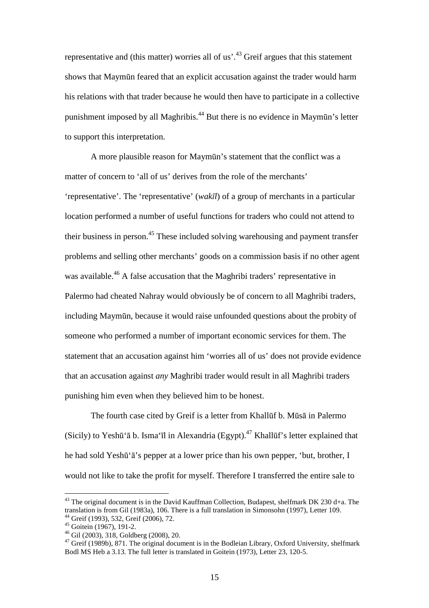representative and (this matter) worries all of us'.<sup>43</sup> Greif argues that this statement shows that Maymūn feared that an explicit accusation against the trader would harm his relations with that trader because he would then have to participate in a collective punishment imposed by all Maghribis.<sup>44</sup> But there is no evidence in Maymūn's letter to support this interpretation.

A more plausible reason for Maymūn's statement that the conflict was a matter of concern to 'all of us' derives from the role of the merchants' 'representative'. The 'representative' (*wakīl*) of a group of merchants in a particular location performed a number of useful functions for traders who could not attend to their business in person.<sup>45</sup> These included solving warehousing and payment transfer problems and selling other merchants' goods on a commission basis if no other agent was available.<sup>46</sup> A false accusation that the Maghribi traders' representative in Palermo had cheated Nahray would obviously be of concern to all Maghribi traders, including Maymūn, because it would raise unfounded questions about the probity of someone who performed a number of important economic services for them. The statement that an accusation against him 'worries all of us' does not provide evidence that an accusation against *any* Maghribi trader would result in all Maghribi traders punishing him even when they believed him to be honest.

The fourth case cited by Greif is a letter from Khallūf b. Mūsā in Palermo (Sicily) to Yeshū' $\bar{a}$  b. Isma'īl in Alexandria (Egypt).<sup>47</sup> Khallūf's letter explained that he had sold Yeshū'ā's pepper at a lower price than his own pepper, 'but, brother, I would not like to take the profit for myself. Therefore I transferred the entire sale to

 $43$  The original document is in the David Kauffman Collection, Budapest, shelfmark DK 230 d+a. The translation is from Gil (1983a), 106. There is a full translation in Simonsohn (1997), Letter 109. <sup>44</sup> Greif (1993), 532, Greif (2006), 72.

 $45$  Goitein (1967), 191-2.

 $^{46}$  Gil (2003), 318, Goldberg (2008), 20.

<sup>&</sup>lt;sup>47</sup> Greif (1989b), 871. The original document is in the Bodleian Library, Oxford University, shelfmark Bodl MS Heb a 3.13. The full letter is translated in Goitein (1973), Letter 23, 120-5.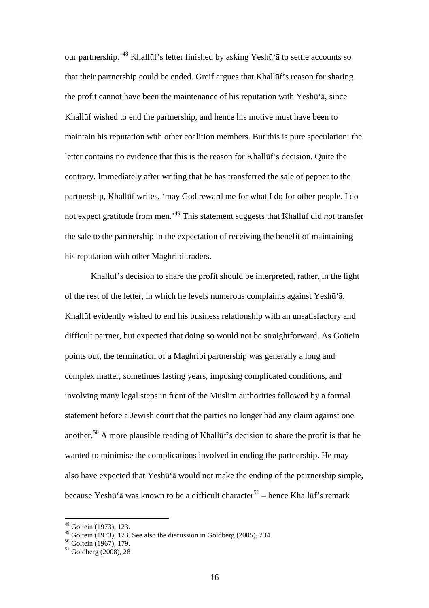our partnership.'<sup>48</sup> Khallūf's letter finished by asking Yeshū'ā to settle accounts so that their partnership could be ended. Greif argues that Khallūf's reason for sharing the profit cannot have been the maintenance of his reputation with Yeshū'ā, since Khallūf wished to end the partnership, and hence his motive must have been to maintain his reputation with other coalition members. But this is pure speculation: the letter contains no evidence that this is the reason for Khallūf's decision. Quite the contrary. Immediately after writing that he has transferred the sale of pepper to the partnership, Khallūf writes, 'may God reward me for what I do for other people. I do not expect gratitude from men.'<sup>49</sup> This statement suggests that Khallūf did *not* transfer the sale to the partnership in the expectation of receiving the benefit of maintaining his reputation with other Maghribi traders.

Khallūf's decision to share the profit should be interpreted, rather, in the light of the rest of the letter, in which he levels numerous complaints against Yeshū'ā. Khallūf evidently wished to end his business relationship with an unsatisfactory and difficult partner, but expected that doing so would not be straightforward. As Goitein points out, the termination of a Maghribi partnership was generally a long and complex matter, sometimes lasting years, imposing complicated conditions, and involving many legal steps in front of the Muslim authorities followed by a formal statement before a Jewish court that the parties no longer had any claim against one another.<sup>50</sup> A more plausible reading of Khallūf's decision to share the profit is that he wanted to minimise the complications involved in ending the partnership. He may also have expected that Yeshū'ā would not make the ending of the partnership simple, because Yeshū'ā was known to be a difficult character<sup>51</sup> – hence Khallūf's remark

<sup>&</sup>lt;sup>48</sup> Goitein (1973), 123.

 $49$  Goitein (1973), 123. See also the discussion in Goldberg (2005), 234.

<sup>50</sup> Goitein (1967), 179.

<sup>51</sup> Goldberg (2008), 28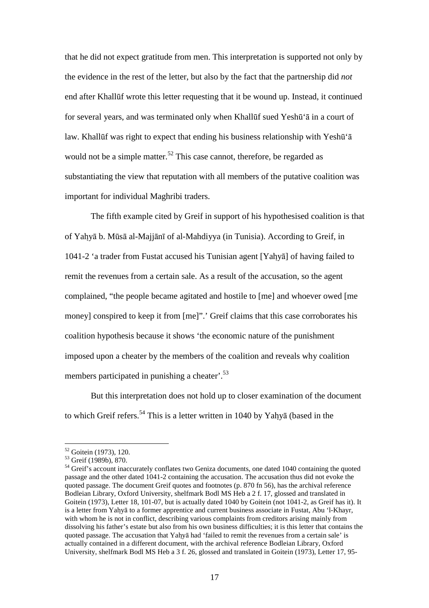that he did not expect gratitude from men. This interpretation is supported not only by the evidence in the rest of the letter, but also by the fact that the partnership did *not* end after Khallūf wrote this letter requesting that it be wound up. Instead, it continued for several years, and was terminated only when Khallūf sued Yeshū'ā in a court of law. Khallūf was right to expect that ending his business relationship with Yeshū'ā would not be a simple matter.<sup>52</sup> This case cannot, therefore, be regarded as substantiating the view that reputation with all members of the putative coalition was important for individual Maghribi traders.

The fifth example cited by Greif in support of his hypothesised coalition is that of Yahyā b. Mūsā al-Majjānī of al-Mahdiyya (in Tunisia). According to Greif, in 1041-2 'a trader from Fustat accused his Tunisian agent [Yahyā] of having failed to remit the revenues from a certain sale. As a result of the accusation, so the agent complained, "the people became agitated and hostile to [me] and whoever owed [me money] conspired to keep it from [me]".' Greif claims that this case corroborates his coalition hypothesis because it shows 'the economic nature of the punishment imposed upon a cheater by the members of the coalition and reveals why coalition members participated in punishing a cheater'.<sup>53</sup>

But this interpretation does not hold up to closer examination of the document to which Greif refers.<sup>54</sup> This is a letter written in 1040 by Yahyā (based in the

<sup>&</sup>lt;sup>52</sup> Goitein (1973), 120.

<sup>53</sup> Greif (1989b), 870.

<sup>&</sup>lt;sup>54</sup> Greif's account inaccurately conflates two Geniza documents, one dated 1040 containing the quoted passage and the other dated 1041-2 containing the accusation. The accusation thus did not evoke the quoted passage. The document Greif quotes and footnotes (p. 870 fn 56), has the archival reference Bodleian Library, Oxford University, shelfmark Bodl MS Heb a 2 f. 17, glossed and translated in Goitein (1973), Letter 18, 101-07, but is actually dated 1040 by Goitein (not 1041-2, as Greif has it). It is a letter from Yahyā to a former apprentice and current business associate in Fustat, Abu 'l-Khayr, with whom he is not in conflict, describing various complaints from creditors arising mainly from dissolving his father's estate but also from his own business difficulties; it is this letter that contains the quoted passage. The accusation that Yahyā had 'failed to remit the revenues from a certain sale' is actually contained in a different document, with the archival reference Bodleian Library, Oxford University, shelfmark Bodl MS Heb a 3 f. 26, glossed and translated in Goitein (1973), Letter 17, 95-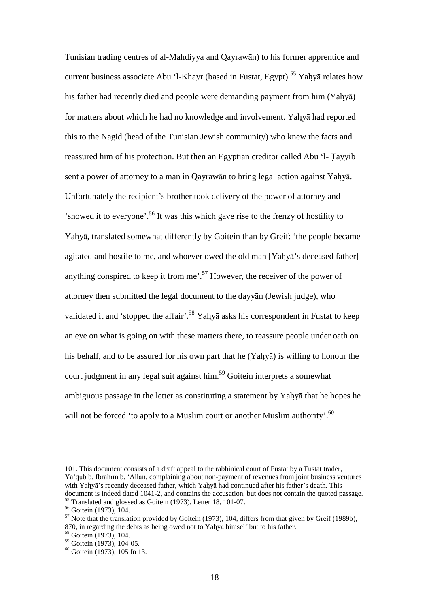Tunisian trading centres of al-Mahdiyya and Qayrawān) to his former apprentice and current business associate Abu 'l-Khayr (based in Fustat, Egypt).<sup>55</sup> Yahyā relates how his father had recently died and people were demanding payment from him (Yahyā) for matters about which he had no knowledge and involvement. Yahyā had reported this to the Nagid (head of the Tunisian Jewish community) who knew the facts and reassured him of his protection. But then an Egyptian creditor called Abu 'l- Tayyib sent a power of attorney to a man in Qayrawān to bring legal action against Yahyā. Unfortunately the recipient's brother took delivery of the power of attorney and 'showed it to everyone'.<sup>56</sup> It was this which gave rise to the frenzy of hostility to Yahyā, translated somewhat differently by Goitein than by Greif: 'the people became agitated and hostile to me, and whoever owed the old man [Yahyā's deceased father] anything conspired to keep it from me'.<sup>57</sup> However, the receiver of the power of attorney then submitted the legal document to the dayyān (Jewish judge), who validated it and 'stopped the affair'.<sup>58</sup> Yahya asks his correspondent in Fustat to keep an eye on what is going on with these matters there, to reassure people under oath on his behalf, and to be assured for his own part that he (Yahyā) is willing to honour the court judgment in any legal suit against him.<sup>59</sup> Goitein interprets a somewhat ambiguous passage in the letter as constituting a statement by Yahyā that he hopes he will not be forced 'to apply to a Muslim court or another Muslim authority'.<sup>60</sup>

<sup>101.</sup> This document consists of a draft appeal to the rabbinical court of Fustat by a Fustat trader, Ya'qūb b. Ibrahīm b. 'Allān, complaining about non-payment of revenues from joint business ventures with Yahyā's recently deceased father, which Yahyā had continued after his father's death. This document is indeed dated 1041-2, and contains the accusation, but does not contain the quoted passage. <sup>55</sup> Translated and glossed as Goitein (1973), Letter 18, 101-07.

<sup>&</sup>lt;sup>56</sup> Goitein (1973), 104.

<sup>57</sup> Note that the translation provided by Goitein (1973), 104, differs from that given by Greif (1989b), 870, in regarding the debts as being owed not to Yahyā himself but to his father.

<sup>58</sup> Goitein (1973), 104.

<sup>&</sup>lt;sup>59</sup> Goitein (1973), 104-05.

<sup>60</sup> Goitein (1973), 105 fn 13.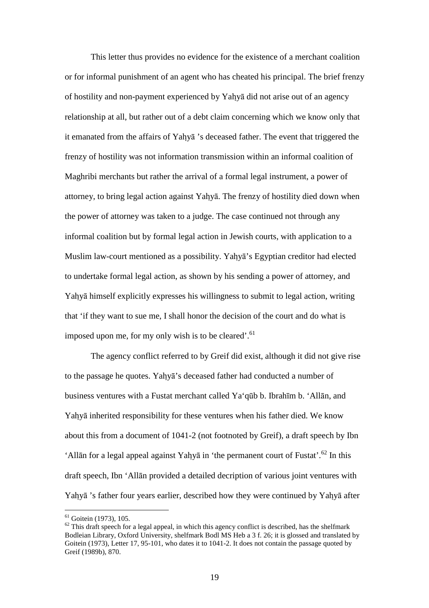This letter thus provides no evidence for the existence of a merchant coalition or for informal punishment of an agent who has cheated his principal. The brief frenzy of hostility and non-payment experienced by Yahyā did not arise out of an agency relationship at all, but rather out of a debt claim concerning which we know only that it emanated from the affairs of Yahyā 's deceased father. The event that triggered the frenzy of hostility was not information transmission within an informal coalition of Maghribi merchants but rather the arrival of a formal legal instrument, a power of attorney, to bring legal action against Yahyā. The frenzy of hostility died down when the power of attorney was taken to a judge. The case continued not through any informal coalition but by formal legal action in Jewish courts, with application to a Muslim law-court mentioned as a possibility. Yahyā's Egyptian creditor had elected to undertake formal legal action, as shown by his sending a power of attorney, and Yahyā himself explicitly expresses his willingness to submit to legal action, writing that 'if they want to sue me, I shall honor the decision of the court and do what is imposed upon me, for my only wish is to be cleared'.<sup>61</sup>

The agency conflict referred to by Greif did exist, although it did not give rise to the passage he quotes. Yahyā's deceased father had conducted a number of business ventures with a Fustat merchant called Ya'qūb b. Ibrahīm b. 'Allān, and Yahyā inherited responsibility for these ventures when his father died. We know about this from a document of 1041-2 (not footnoted by Greif), a draft speech by Ibn 'Allān for a legal appeal against Yahyā in 'the permanent court of Fustat'.<sup>62</sup> In this draft speech, Ibn 'Allān provided a detailed decription of various joint ventures with Yahyā 's father four years earlier, described how they were continued by Yahyā after

 $61$  Goitein (1973), 105.

 $62$  This draft speech for a legal appeal, in which this agency conflict is described, has the shelfmark Bodleian Library, Oxford University, shelfmark Bodl MS Heb a 3 f. 26; it is glossed and translated by Goitein (1973), Letter 17, 95-101, who dates it to 1041-2. It does not contain the passage quoted by Greif (1989b), 870.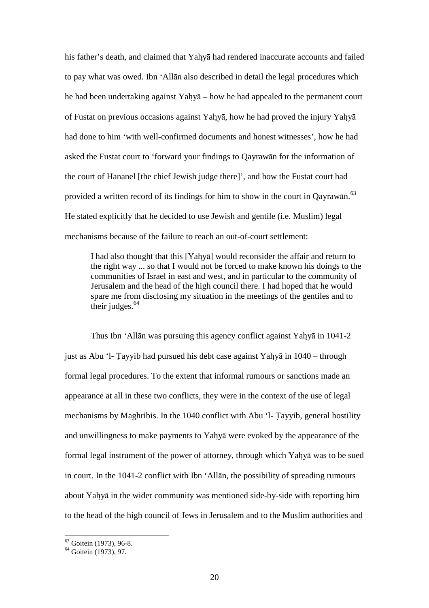his father's death, and claimed that Yahyā had rendered inaccurate accounts and failed to pay what was owed. Ibn 'Allān also described in detail the legal procedures which he had been undertaking against Yahyā – how he had appealed to the permanent court of Fustat on previous occasions against Yahyā, how he had proved the injury Yahyā had done to him 'with well-confirmed documents and honest witnesses', how he had asked the Fustat court to 'forward your findings to Qayrawān for the information of the court of Hananel [the chief Jewish judge there]', and how the Fustat court had provided a written record of its findings for him to show in the court in Qayrawān.<sup>63</sup> He stated explicitly that he decided to use Jewish and gentile (i.e. Muslim) legal mechanisms because of the failure to reach an out-of-court settlement:

I had also thought that this [Yahyā] would reconsider the affair and return to the right way ... so that I would not be forced to make known his doings to the communities of Israel in east and west, and in particular to the community of Jerusalem and the head of the high council there. I had hoped that he would spare me from disclosing my situation in the meetings of the gentiles and to their judges. $64$ 

Thus Ibn 'Allān was pursuing this agency conflict against Yahyā in 1041-2 just as Abu 'l- Tayyib had pursued his debt case against Yahyā in 1040 – through formal legal procedures. To the extent that informal rumours or sanctions made an appearance at all in these two conflicts, they were in the context of the use of legal mechanisms by Maghribis. In the 1040 conflict with Abu 'l- Tayyib, general hostility and unwillingness to make payments to Yahyā were evoked by the appearance of the formal legal instrument of the power of attorney, through which Yahyā was to be sued in court. In the 1041-2 conflict with Ibn 'Allān, the possibility of spreading rumours about Yahyā in the wider community was mentioned side-by-side with reporting him to the head of the high council of Jews in Jerusalem and to the Muslim authorities and

 $\overline{a}$ <sup>63</sup> Goitein (1973), 96-8.

 $64$  Goitein  $(1973)$ , 97.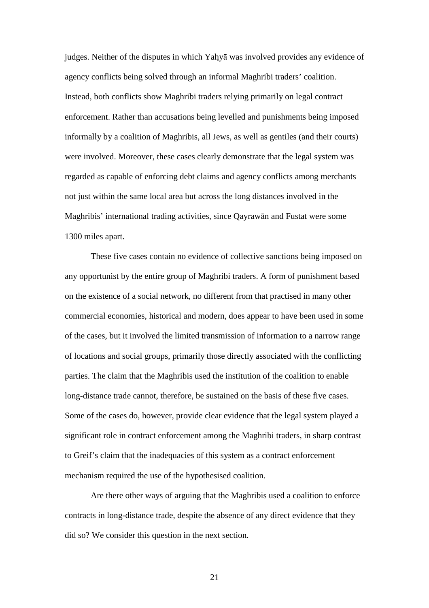judges. Neither of the disputes in which Yahyā was involved provides any evidence of agency conflicts being solved through an informal Maghribi traders' coalition. Instead, both conflicts show Maghribi traders relying primarily on legal contract enforcement. Rather than accusations being levelled and punishments being imposed informally by a coalition of Maghribis, all Jews, as well as gentiles (and their courts) were involved. Moreover, these cases clearly demonstrate that the legal system was regarded as capable of enforcing debt claims and agency conflicts among merchants not just within the same local area but across the long distances involved in the Maghribis' international trading activities, since Qayrawān and Fustat were some 1300 miles apart.

These five cases contain no evidence of collective sanctions being imposed on any opportunist by the entire group of Maghribi traders. A form of punishment based on the existence of a social network, no different from that practised in many other commercial economies, historical and modern, does appear to have been used in some of the cases, but it involved the limited transmission of information to a narrow range of locations and social groups, primarily those directly associated with the conflicting parties. The claim that the Maghribis used the institution of the coalition to enable long-distance trade cannot, therefore, be sustained on the basis of these five cases. Some of the cases do, however, provide clear evidence that the legal system played a significant role in contract enforcement among the Maghribi traders, in sharp contrast to Greif's claim that the inadequacies of this system as a contract enforcement mechanism required the use of the hypothesised coalition.

Are there other ways of arguing that the Maghribis used a coalition to enforce contracts in long-distance trade, despite the absence of any direct evidence that they did so? We consider this question in the next section.

21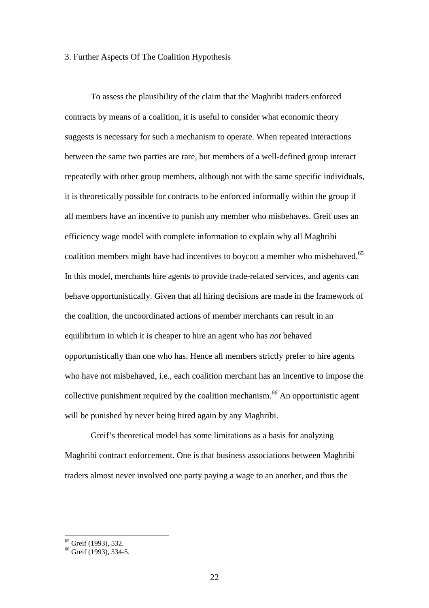#### 3. Further Aspects Of The Coalition Hypothesis

To assess the plausibility of the claim that the Maghribi traders enforced contracts by means of a coalition, it is useful to consider what economic theory suggests is necessary for such a mechanism to operate. When repeated interactions between the same two parties are rare, but members of a well-defined group interact repeatedly with other group members, although not with the same specific individuals, it is theoretically possible for contracts to be enforced informally within the group if all members have an incentive to punish any member who misbehaves. Greif uses an efficiency wage model with complete information to explain why all Maghribi coalition members might have had incentives to boycott a member who misbehaved.<sup>65</sup> In this model, merchants hire agents to provide trade-related services, and agents can behave opportunistically. Given that all hiring decisions are made in the framework of the coalition, the uncoordinated actions of member merchants can result in an equilibrium in which it is cheaper to hire an agent who has *not* behaved opportunistically than one who has. Hence all members strictly prefer to hire agents who have not misbehaved, i.e., each coalition merchant has an incentive to impose the collective punishment required by the coalition mechanism.<sup>66</sup> An opportunistic agent will be punished by never being hired again by any Maghribi.

Greif's theoretical model has some limitations as a basis for analyzing Maghribi contract enforcement. One is that business associations between Maghribi traders almost never involved one party paying a wage to an another, and thus the

<sup>&</sup>lt;sup>65</sup> Greif (1993), 532.

<sup>&</sup>lt;sup>66</sup> Greif (1993), 534-5.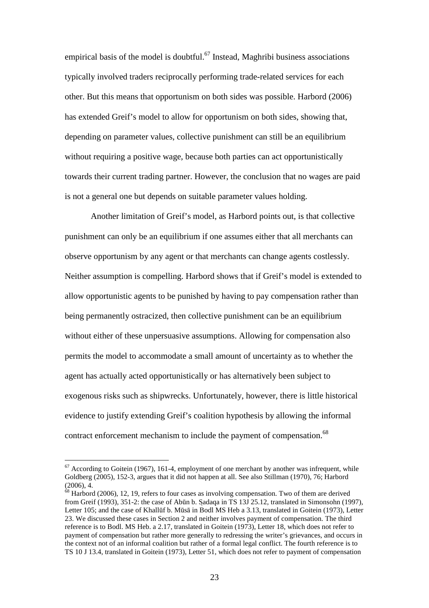empirical basis of the model is doubtful.<sup>67</sup> Instead, Maghribi business associations typically involved traders reciprocally performing trade-related services for each other. But this means that opportunism on both sides was possible. Harbord (2006) has extended Greif's model to allow for opportunism on both sides, showing that, depending on parameter values, collective punishment can still be an equilibrium without requiring a positive wage, because both parties can act opportunistically towards their current trading partner. However, the conclusion that no wages are paid is not a general one but depends on suitable parameter values holding.

Another limitation of Greif's model, as Harbord points out, is that collective punishment can only be an equilibrium if one assumes either that all merchants can observe opportunism by any agent or that merchants can change agents costlessly. Neither assumption is compelling. Harbord shows that if Greif's model is extended to allow opportunistic agents to be punished by having to pay compensation rather than being permanently ostracized, then collective punishment can be an equilibrium without either of these unpersuasive assumptions. Allowing for compensation also permits the model to accommodate a small amount of uncertainty as to whether the agent has actually acted opportunistically or has alternatively been subject to exogenous risks such as shipwrecks. Unfortunately, however, there is little historical evidence to justify extending Greif's coalition hypothesis by allowing the informal contract enforcement mechanism to include the payment of compensation.<sup>68</sup>

 $67$  According to Goitein (1967), 161-4, employment of one merchant by another was infrequent, while Goldberg (2005), 152-3, argues that it did not happen at all. See also Stillman (1970), 76; Harbord (2006), 4.

 $68$  Harbord (2006), 12, 19, refers to four cases as involving compensation. Two of them are derived from Greif (1993), 351-2: the case of Abūn b. Sadaqa in TS 13J 25.12, translated in Simonsohn (1997), Letter 105; and the case of Khallūf b. Mūsā in Bodl MS Heb a 3.13, translated in Goitein (1973), Letter 23. We discussed these cases in Section 2 and neither involves payment of compensation. The third reference is to Bodl. MS Heb. a 2.17, translated in Goitein (1973), Letter 18, which does not refer to payment of compensation but rather more generally to redressing the writer's grievances, and occurs in the context not of an informal coalition but rather of a formal legal conflict. The fourth reference is to TS 10 J 13.4, translated in Goitein (1973), Letter 51, which does not refer to payment of compensation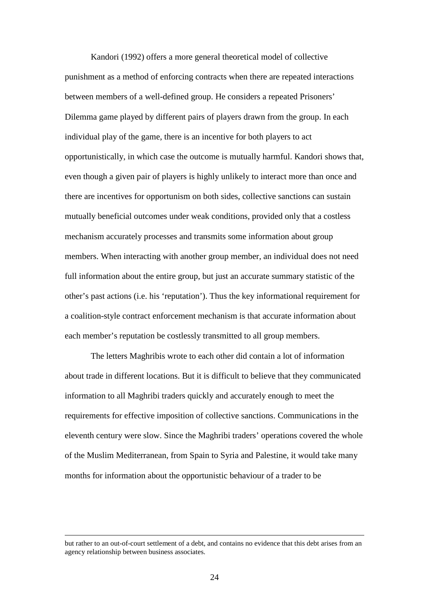Kandori (1992) offers a more general theoretical model of collective punishment as a method of enforcing contracts when there are repeated interactions between members of a well-defined group. He considers a repeated Prisoners' Dilemma game played by different pairs of players drawn from the group. In each individual play of the game, there is an incentive for both players to act opportunistically, in which case the outcome is mutually harmful. Kandori shows that, even though a given pair of players is highly unlikely to interact more than once and there are incentives for opportunism on both sides, collective sanctions can sustain mutually beneficial outcomes under weak conditions, provided only that a costless mechanism accurately processes and transmits some information about group members. When interacting with another group member, an individual does not need full information about the entire group, but just an accurate summary statistic of the other's past actions (i.e. his 'reputation'). Thus the key informational requirement for a coalition-style contract enforcement mechanism is that accurate information about each member's reputation be costlessly transmitted to all group members.

The letters Maghribis wrote to each other did contain a lot of information about trade in different locations. But it is difficult to believe that they communicated information to all Maghribi traders quickly and accurately enough to meet the requirements for effective imposition of collective sanctions. Communications in the eleventh century were slow. Since the Maghribi traders' operations covered the whole of the Muslim Mediterranean, from Spain to Syria and Palestine, it would take many months for information about the opportunistic behaviour of a trader to be

but rather to an out-of-court settlement of a debt, and contains no evidence that this debt arises from an agency relationship between business associates.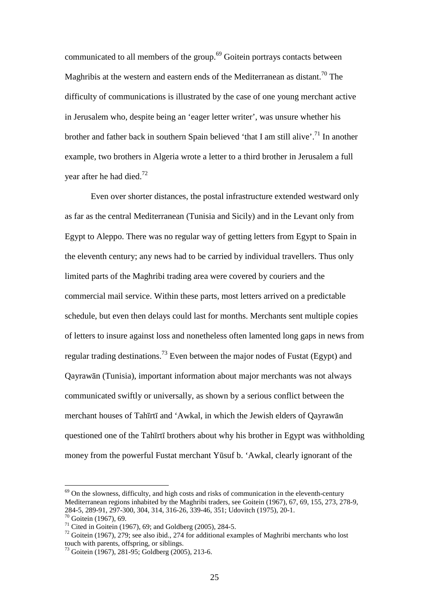communicated to all members of the group.<sup> $69$ </sup> Goitein portrays contacts between Maghribis at the western and eastern ends of the Mediterranean as distant.<sup>70</sup> The difficulty of communications is illustrated by the case of one young merchant active in Jerusalem who, despite being an 'eager letter writer', was unsure whether his brother and father back in southern Spain believed 'that I am still alive'.<sup>71</sup> In another example, two brothers in Algeria wrote a letter to a third brother in Jerusalem a full year after he had died.<sup>72</sup>

Even over shorter distances, the postal infrastructure extended westward only as far as the central Mediterranean (Tunisia and Sicily) and in the Levant only from Egypt to Aleppo. There was no regular way of getting letters from Egypt to Spain in the eleventh century; any news had to be carried by individual travellers. Thus only limited parts of the Maghribi trading area were covered by couriers and the commercial mail service. Within these parts, most letters arrived on a predictable schedule, but even then delays could last for months. Merchants sent multiple copies of letters to insure against loss and nonetheless often lamented long gaps in news from regular trading destinations.<sup>73</sup> Even between the major nodes of Fustat (Egypt) and Qayrawān (Tunisia), important information about major merchants was not always communicated swiftly or universally, as shown by a serious conflict between the merchant houses of Tahīrtī and 'Awkal, in which the Jewish elders of Qayrawān questioned one of the Tahīrtī brothers about why his brother in Egypt was withholding money from the powerful Fustat merchant Yūsuf b. 'Awkal, clearly ignorant of the

 $69$  On the slowness, difficulty, and high costs and risks of communication in the eleventh-century Mediterranean regions inhabited by the Maghribi traders, see Goitein (1967), 67, 69, 155, 273, 278-9, 284-5, 289-91, 297-300, 304, 314, 316-26, 339-46, 351; Udovitch (1975), 20-1.  $70$  Goitein (1967), 69.

 $71$  Cited in Goitein (1967), 69; and Goldberg (2005), 284-5.

 $^{72}$  Goitein (1967), 279; see also ibid., 274 for additional examples of Maghribi merchants who lost touch with parents, offspring, or siblings.

<sup>73</sup> Goitein (1967), 281-95; Goldberg (2005), 213-6.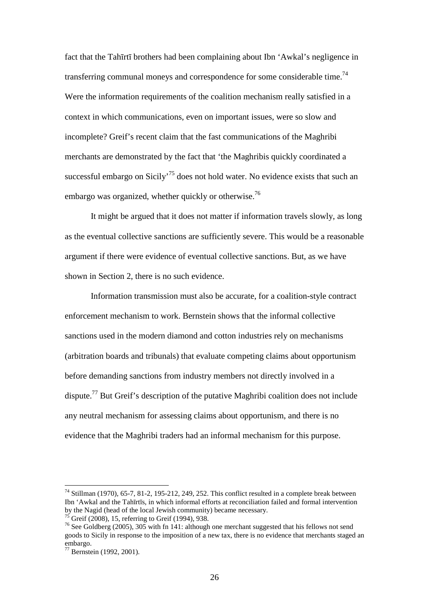fact that the Tahīrtī brothers had been complaining about Ibn 'Awkal's negligence in transferring communal moneys and correspondence for some considerable time.<sup>74</sup> Were the information requirements of the coalition mechanism really satisfied in a context in which communications, even on important issues, were so slow and incomplete? Greif's recent claim that the fast communications of the Maghribi merchants are demonstrated by the fact that 'the Maghribis quickly coordinated a successful embargo on Sicily<sup> $75$ </sup> does not hold water. No evidence exists that such an embargo was organized, whether quickly or otherwise.<sup>76</sup>

It might be argued that it does not matter if information travels slowly, as long as the eventual collective sanctions are sufficiently severe. This would be a reasonable argument if there were evidence of eventual collective sanctions. But, as we have shown in Section 2, there is no such evidence.

Information transmission must also be accurate, for a coalition-style contract enforcement mechanism to work. Bernstein shows that the informal collective sanctions used in the modern diamond and cotton industries rely on mechanisms (arbitration boards and tribunals) that evaluate competing claims about opportunism before demanding sanctions from industry members not directly involved in a dispute.<sup>77</sup> But Greif's description of the putative Maghribi coalition does not include any neutral mechanism for assessing claims about opportunism, and there is no evidence that the Maghribi traders had an informal mechanism for this purpose.

 $^{74}$  Stillman (1970), 65-7, 81-2, 195-212, 249, 252. This conflict resulted in a complete break between Ibn 'Awkal and the Tahīrtīs, in which informal efforts at reconciliation failed and formal intervention by the Nagid (head of the local Jewish community) became necessary.

Greif (2008), 15, referring to Greif (1994), 938.

<sup>&</sup>lt;sup>76</sup> See Goldberg (2005), 305 with fn 141: although one merchant suggested that his fellows not send goods to Sicily in response to the imposition of a new tax, there is no evidence that merchants staged an embargo.

<sup>77</sup> Bernstein (1992, 2001).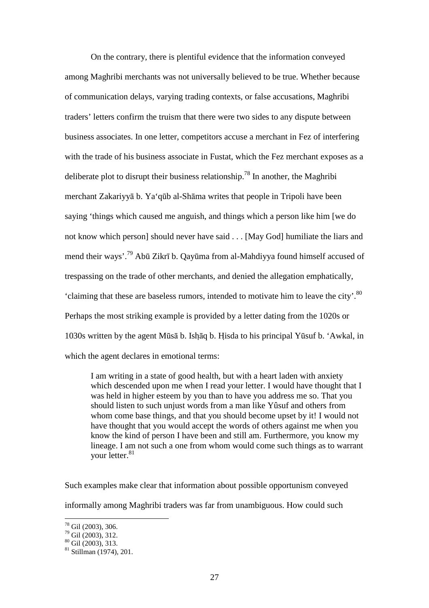On the contrary, there is plentiful evidence that the information conveyed among Maghribi merchants was not universally believed to be true. Whether because of communication delays, varying trading contexts, or false accusations, Maghribi traders' letters confirm the truism that there were two sides to any dispute between business associates. In one letter, competitors accuse a merchant in Fez of interfering with the trade of his business associate in Fustat, which the Fez merchant exposes as a deliberate plot to disrupt their business relationship.<sup>78</sup> In another, the Maghribi merchant Zakariyyā b. Ya'qūb al-Shāma writes that people in Tripoli have been saying 'things which caused me anguish, and things which a person like him [we do not know which person] should never have said . . . [May God] humiliate the liars and mend their ways'.<sup>79</sup> Abū Zikrī b. Qayūma from al-Mahdiyya found himself accused of trespassing on the trade of other merchants, and denied the allegation emphatically, 'claiming that these are baseless rumors, intended to motivate him to leave the city'.<sup>80</sup> Perhaps the most striking example is provided by a letter dating from the 1020s or 1030s written by the agent Mūsā b. Ishāq b. Hisda to his principal Yūsuf b. 'Awkal, in which the agent declares in emotional terms:

I am writing in a state of good health, but with a heart laden with anxiety which descended upon me when I read your letter. I would have thought that I was held in higher esteem by you than to have you address me so. That you should listen to such unjust words from a man like Yûsuf and others from whom come base things, and that you should become upset by it! I would not have thought that you would accept the words of others against me when you know the kind of person I have been and still am. Furthermore, you know my lineage. I am not such a one from whom would come such things as to warrant your letter.<sup>81</sup>

Such examples make clear that information about possible opportunism conveyed informally among Maghribi traders was far from unambiguous. How could such

 $78$  Gil (2003), 306.

 $79$  Gil (2003), 312.

 $80$  Gil (2003), 313.

 $81$  Stillman (1974), 201.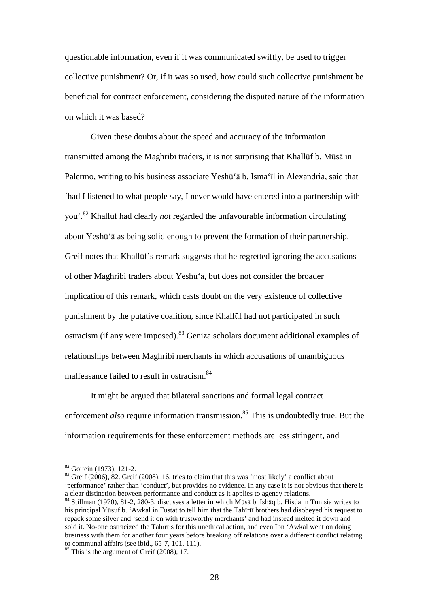questionable information, even if it was communicated swiftly, be used to trigger collective punishment? Or, if it was so used, how could such collective punishment be beneficial for contract enforcement, considering the disputed nature of the information on which it was based?

Given these doubts about the speed and accuracy of the information transmitted among the Maghribi traders, it is not surprising that Khallūf b. Mūsā in Palermo, writing to his business associate Yeshū'ā b. Isma'īl in Alexandria, said that 'had I listened to what people say, I never would have entered into a partnership with you'.<sup>82</sup> Khallūf had clearly *not* regarded the unfavourable information circulating about Yeshū'ā as being solid enough to prevent the formation of their partnership. Greif notes that Khallūf's remark suggests that he regretted ignoring the accusations of other Maghribi traders about Yeshū'ā, but does not consider the broader implication of this remark, which casts doubt on the very existence of collective punishment by the putative coalition, since Khallūf had not participated in such ostracism (if any were imposed).<sup>83</sup> Geniza scholars document additional examples of relationships between Maghribi merchants in which accusations of unambiguous malfeasance failed to result in ostracism.<sup>84</sup>

It might be argued that bilateral sanctions and formal legal contract enforcement *also* require information transmission.<sup>85</sup> This is undoubtedly true. But the information requirements for these enforcement methods are less stringent, and

 $82$  Goitein (1973), 121-2.

<sup>&</sup>lt;sup>83</sup> Greif (2006), 82. Greif (2008), 16, tries to claim that this was 'most likely' a conflict about 'performance' rather than 'conduct', but provides no evidence. In any case it is not obvious that there is a clear distinction between performance and conduct as it applies to agency relations.

<sup>84</sup> Stillman (1970), 81-2, 280-3, discusses a letter in which Mūsā b. Ishāq b. Hisda in Tunisia writes to his principal Yūsuf b. 'Awkal in Fustat to tell him that the Tahīrtī brothers had disobeyed his request to repack some silver and 'send it on with trustworthy merchants' and had instead melted it down and sold it. No-one ostracized the Tahīrtīs for this unethical action, and even Ibn 'Awkal went on doing business with them for another four years before breaking off relations over a different conflict relating to communal affairs (see ibid., 65-7, 101, 111).

<sup>&</sup>lt;sup>85</sup> This is the argument of Greif (2008), 17.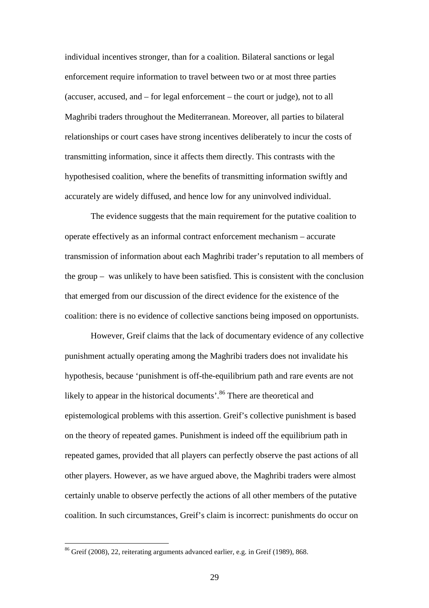individual incentives stronger, than for a coalition. Bilateral sanctions or legal enforcement require information to travel between two or at most three parties (accuser, accused, and – for legal enforcement – the court or judge), not to all Maghribi traders throughout the Mediterranean. Moreover, all parties to bilateral relationships or court cases have strong incentives deliberately to incur the costs of transmitting information, since it affects them directly. This contrasts with the hypothesised coalition, where the benefits of transmitting information swiftly and accurately are widely diffused, and hence low for any uninvolved individual.

The evidence suggests that the main requirement for the putative coalition to operate effectively as an informal contract enforcement mechanism – accurate transmission of information about each Maghribi trader's reputation to all members of the group – was unlikely to have been satisfied. This is consistent with the conclusion that emerged from our discussion of the direct evidence for the existence of the coalition: there is no evidence of collective sanctions being imposed on opportunists.

However, Greif claims that the lack of documentary evidence of any collective punishment actually operating among the Maghribi traders does not invalidate his hypothesis, because 'punishment is off-the-equilibrium path and rare events are not likely to appear in the historical documents'.<sup>86</sup> There are theoretical and epistemological problems with this assertion. Greif's collective punishment is based on the theory of repeated games. Punishment is indeed off the equilibrium path in repeated games, provided that all players can perfectly observe the past actions of all other players. However, as we have argued above, the Maghribi traders were almost certainly unable to observe perfectly the actions of all other members of the putative coalition. In such circumstances, Greif's claim is incorrect: punishments do occur on

<sup>&</sup>lt;sup>86</sup> Greif (2008), 22, reiterating arguments advanced earlier, e.g. in Greif (1989), 868.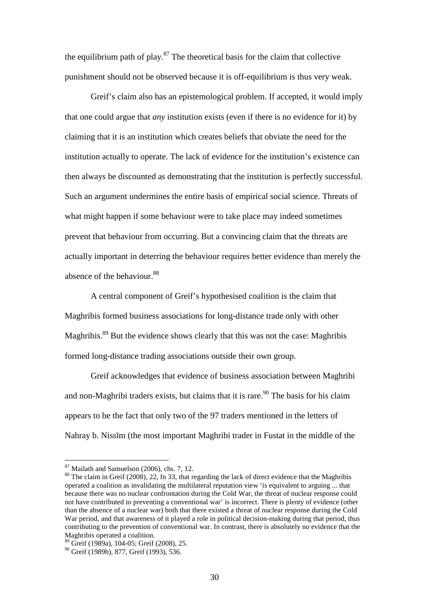the equilibrium path of play. $87$  The theoretical basis for the claim that collective punishment should not be observed because it is off-equilibrium is thus very weak.

Greif's claim also has an epistemological problem. If accepted, it would imply that one could argue that *any* institution exists (even if there is no evidence for it) by claiming that it is an institution which creates beliefs that obviate the need for the institution actually to operate. The lack of evidence for the institution's existence can then always be discounted as demonstrating that the institution is perfectly successful. Such an argument undermines the entire basis of empirical social science. Threats of what might happen if some behaviour were to take place may indeed sometimes prevent that behaviour from occurring. But a convincing claim that the threats are actually important in deterring the behaviour requires better evidence than merely the absence of the behaviour.<sup>88</sup>

A central component of Greif's hypothesised coalition is the claim that Maghribis formed business associations for long-distance trade only with other Maghribis.<sup>89</sup> But the evidence shows clearly that this was not the case: Maghribis formed long-distance trading associations outside their own group.

Greif acknowledges that evidence of business association between Maghribi and non-Maghribi traders exists, but claims that it is rare.<sup>90</sup> The basis for his claim appears to be the fact that only two of the 97 traders mentioned in the letters of Nahray b. Nissīm (the most important Maghribi trader in Fustat in the middle of the

 $87$  Mailath and Samuelson (2006), chs. 7, 12.

<sup>&</sup>lt;sup>88</sup> The claim in Greif (2008), 22, fn 33, that regarding the lack of direct evidence that the Maghribis operated a coalition as invalidating the multilateral reputation view 'is equivalent to arguing ... that because there was no nuclear confrontation during the Cold War, the threat of nuclear response could not have contributed to preventing a conventional war' is incorrect. There is plenty of evidence (other than the absence of a nuclear war) both that there existed a threat of nuclear response during the Cold War period, and that awareness of it played a role in political decision-making during that period, thus contributing to the prevention of conventional war. In contrast, there is absolutely no evidence that the Maghribis operated a coalition.

 $89$  Greif (1989a), 104-05; Greif (2008), 25.

<sup>&</sup>lt;sup>90</sup> Greif (1989b), 877, Greif (1993), 536.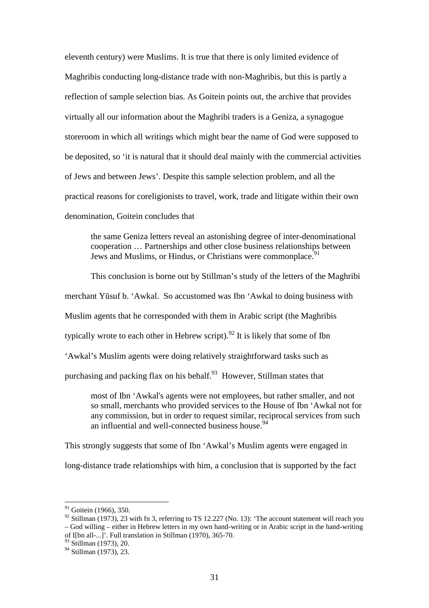eleventh century) were Muslims. It is true that there is only limited evidence of Maghribis conducting long-distance trade with non-Maghribis, but this is partly a reflection of sample selection bias. As Goitein points out, the archive that provides virtually all our information about the Maghribi traders is a Geniza, a synagogue storeroom in which all writings which might bear the name of God were supposed to be deposited, so 'it is natural that it should deal mainly with the commercial activities of Jews and between Jews'. Despite this sample selection problem, and all the practical reasons for coreligionists to travel, work, trade and litigate within their own denomination, Goitein concludes that

the same Geniza letters reveal an astonishing degree of inter-denominational cooperation … Partnerships and other close business relationships between Jews and Muslims, or Hindus, or Christians were commonplace.<sup>91</sup>

This conclusion is borne out by Stillman's study of the letters of the Maghribi merchant Yūsuf b. 'Awkal. So accustomed was Ibn 'Awkal to doing business with Muslim agents that he corresponded with them in Arabic script (the Maghribis typically wrote to each other in Hebrew script).<sup>92</sup> It is likely that some of Ibn 'Awkal's Muslim agents were doing relatively straightforward tasks such as purchasing and packing flax on his behalf.<sup>93</sup> However, Stillman states that

most of Ibn 'Awkal's agents were not employees, but rather smaller, and not so small, merchants who provided services to the House of Ibn 'Awkal not for any commission, but in order to request similar, reciprocal services from such an influential and well-connected business house.  $94$ 

This strongly suggests that some of Ibn 'Awkal's Muslim agents were engaged in

long-distance trade relationships with him, a conclusion that is supported by the fact

 $91$  Goitein (1966), 350.

 $92$  Stillman (1973), 23 with fn 3, referring to TS 12.227 (No. 13): 'The account statement will reach you – God willing – either in Hebrew letters in my own hand-writing or in Arabic script in the hand-writing

of I[bn all-...]'. Full translation in Stillman (1970), 365-70.

<sup>&</sup>lt;sup>93</sup> Stillman (1973), 20.

<sup>94</sup> Stillman (1973), 23.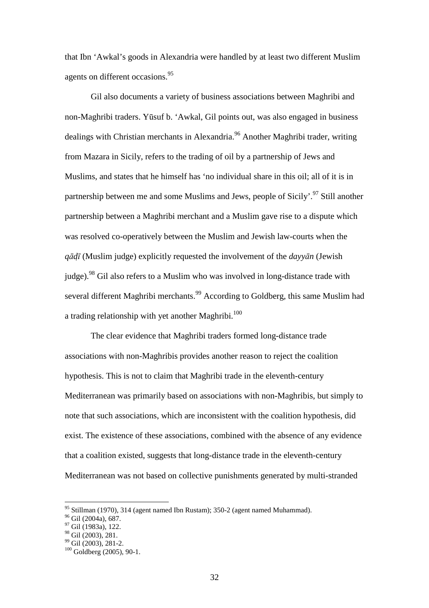that Ibn 'Awkal's goods in Alexandria were handled by at least two different Muslim agents on different occasions.<sup>95</sup>

Gil also documents a variety of business associations between Maghribi and non-Maghribi traders. Yūsuf b. 'Awkal, Gil points out, was also engaged in business dealings with Christian merchants in Alexandria.<sup>96</sup> Another Maghribi trader, writing from Mazara in Sicily, refers to the trading of oil by a partnership of Jews and Muslims, and states that he himself has 'no individual share in this oil; all of it is in partnership between me and some Muslims and Jews, people of Sicily'.<sup>97</sup> Still another partnership between a Maghribi merchant and a Muslim gave rise to a dispute which was resolved co-operatively between the Muslim and Jewish law-courts when the *qādī* (Muslim judge) explicitly requested the involvement of the *dayyān* (Jewish judge).<sup>98</sup> Gil also refers to a Muslim who was involved in long-distance trade with several different Maghribi merchants.<sup>99</sup> According to Goldberg, this same Muslim had a trading relationship with yet another Maghribi.<sup>100</sup>

The clear evidence that Maghribi traders formed long-distance trade associations with non-Maghribis provides another reason to reject the coalition hypothesis. This is not to claim that Maghribi trade in the eleventh-century Mediterranean was primarily based on associations with non-Maghribis, but simply to note that such associations, which are inconsistent with the coalition hypothesis, did exist. The existence of these associations, combined with the absence of any evidence that a coalition existed, suggests that long-distance trade in the eleventh-century Mediterranean was not based on collective punishments generated by multi-stranded

<sup>&</sup>lt;sup>95</sup> Stillman (1970), 314 (agent named Ibn Rustam); 350-2 (agent named Muhammad).

 $96$  Gil (2004a), 687.

<sup>97</sup> Gil (1983a), 122.

<sup>&</sup>lt;sup>98</sup> Gil (2003), 281.

<sup>99</sup> Gil (2003), 281-2.

<sup>100</sup> Goldberg (2005), 90-1.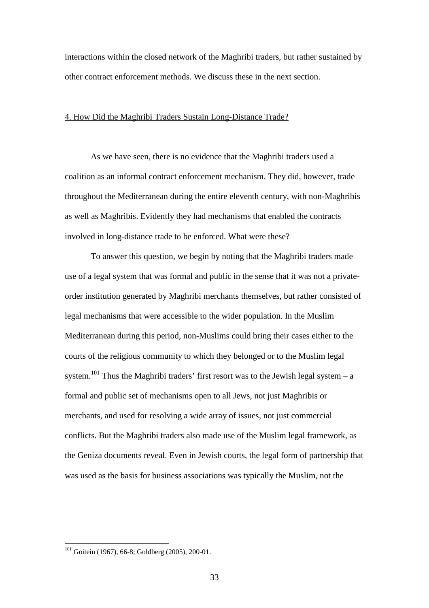interactions within the closed network of the Maghribi traders, but rather sustained by other contract enforcement methods. We discuss these in the next section.

## 4. How Did the Maghribi Traders Sustain Long-Distance Trade?

As we have seen, there is no evidence that the Maghribi traders used a coalition as an informal contract enforcement mechanism. They did, however, trade throughout the Mediterranean during the entire eleventh century, with non-Maghribis as well as Maghribis. Evidently they had mechanisms that enabled the contracts involved in long-distance trade to be enforced. What were these?

To answer this question, we begin by noting that the Maghribi traders made use of a legal system that was formal and public in the sense that it was not a privateorder institution generated by Maghribi merchants themselves, but rather consisted of legal mechanisms that were accessible to the wider population. In the Muslim Mediterranean during this period, non-Muslims could bring their cases either to the courts of the religious community to which they belonged or to the Muslim legal system.<sup>101</sup> Thus the Maghribi traders' first resort was to the Jewish legal system – a formal and public set of mechanisms open to all Jews, not just Maghribis or merchants, and used for resolving a wide array of issues, not just commercial conflicts. But the Maghribi traders also made use of the Muslim legal framework, as the Geniza documents reveal. Even in Jewish courts, the legal form of partnership that was used as the basis for business associations was typically the Muslim, not the

 $101$  Goitein (1967), 66-8; Goldberg (2005), 200-01.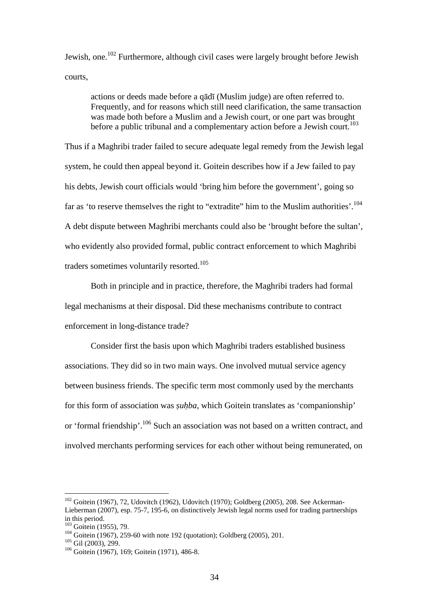Jewish, one.<sup>102</sup> Furthermore, although civil cases were largely brought before Jewish courts,

actions or deeds made before a qādī (Muslim judge) are often referred to. Frequently, and for reasons which still need clarification, the same transaction was made both before a Muslim and a Jewish court, or one part was brought before a public tribunal and a complementary action before a Jewish court.<sup>103</sup>

Thus if a Maghribi trader failed to secure adequate legal remedy from the Jewish legal system, he could then appeal beyond it. Goitein describes how if a Jew failed to pay his debts, Jewish court officials would 'bring him before the government', going so far as 'to reserve themselves the right to "extradite" him to the Muslim authorities'.<sup>104</sup> A debt dispute between Maghribi merchants could also be 'brought before the sultan', who evidently also provided formal, public contract enforcement to which Maghribi traders sometimes voluntarily resorted.<sup>105</sup>

Both in principle and in practice, therefore, the Maghribi traders had formal legal mechanisms at their disposal. Did these mechanisms contribute to contract enforcement in long-distance trade?

Consider first the basis upon which Maghribi traders established business associations. They did so in two main ways. One involved mutual service agency between business friends. The specific term most commonly used by the merchants for this form of association was *suhba*, which Goitein translates as 'companionship' or 'formal friendship'.<sup>106</sup> Such an association was not based on a written contract, and involved merchants performing services for each other without being remunerated, on

 $102$  Goitein (1967), 72, Udovitch (1962), Udovitch (1970); Goldberg (2005), 208. See Ackerman-Lieberman (2007), esp. 75-7, 195-6, on distinctively Jewish legal norms used for trading partnerships in this period.

<sup>&</sup>lt;sup>103</sup> Goitein (1955), 79.

<sup>&</sup>lt;sup>104</sup> Goitein (1967), 259-60 with note 192 (quotation); Goldberg (2005), 201.

<sup>105</sup> Gil (2003), 299.

<sup>106</sup> Goitein (1967), 169; Goitein (1971), 486-8.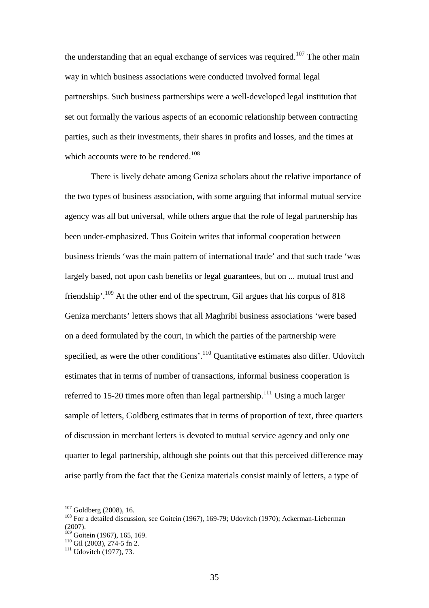the understanding that an equal exchange of services was required.<sup>107</sup> The other main way in which business associations were conducted involved formal legal partnerships. Such business partnerships were a well-developed legal institution that set out formally the various aspects of an economic relationship between contracting parties, such as their investments, their shares in profits and losses, and the times at which accounts were to be rendered.<sup>108</sup>

There is lively debate among Geniza scholars about the relative importance of the two types of business association, with some arguing that informal mutual service agency was all but universal, while others argue that the role of legal partnership has been under-emphasized. Thus Goitein writes that informal cooperation between business friends 'was the main pattern of international trade' and that such trade 'was largely based, not upon cash benefits or legal guarantees, but on ... mutual trust and friendship'.<sup>109</sup> At the other end of the spectrum, Gil argues that his corpus of 818 Geniza merchants' letters shows that all Maghribi business associations 'were based on a deed formulated by the court, in which the parties of the partnership were specified, as were the other conditions'.<sup>110</sup> Quantitative estimates also differ. Udovitch estimates that in terms of number of transactions, informal business cooperation is referred to 15-20 times more often than legal partnership.<sup>111</sup> Using a much larger sample of letters, Goldberg estimates that in terms of proportion of text, three quarters of discussion in merchant letters is devoted to mutual service agency and only one quarter to legal partnership, although she points out that this perceived difference may arise partly from the fact that the Geniza materials consist mainly of letters, a type of

 $107$  Goldberg (2008), 16.

<sup>108</sup> For a detailed discussion, see Goitein (1967), 169-79; Udovitch (1970); Ackerman-Lieberman (2007).

 $109$  Goitein (1967), 165, 169.

 $110$  Gil (2003), 274-5 fn 2.

 $111$  Udovitch (1977), 73.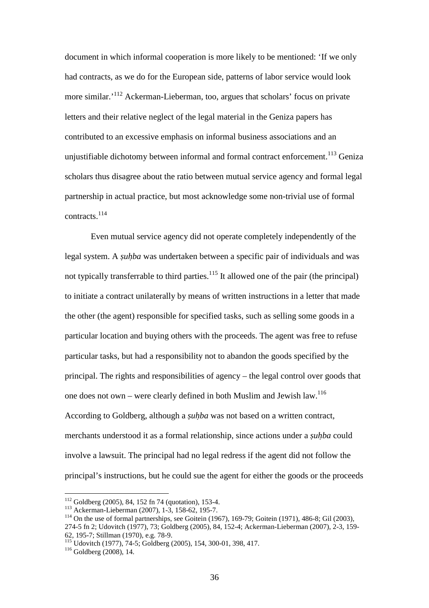document in which informal cooperation is more likely to be mentioned: 'If we only had contracts, as we do for the European side, patterns of labor service would look more similar.<sup>'112</sup> Ackerman-Lieberman, too, argues that scholars' focus on private letters and their relative neglect of the legal material in the Geniza papers has contributed to an excessive emphasis on informal business associations and an unjustifiable dichotomy between informal and formal contract enforcement.<sup>113</sup> Geniza scholars thus disagree about the ratio between mutual service agency and formal legal partnership in actual practice, but most acknowledge some non-trivial use of formal contracts.<sup>114</sup>

Even mutual service agency did not operate completely independently of the legal system. A *suhba* was undertaken between a specific pair of individuals and was not typically transferrable to third parties.<sup>115</sup> It allowed one of the pair (the principal) to initiate a contract unilaterally by means of written instructions in a letter that made the other (the agent) responsible for specified tasks, such as selling some goods in a particular location and buying others with the proceeds. The agent was free to refuse particular tasks, but had a responsibility not to abandon the goods specified by the principal. The rights and responsibilities of agency – the legal control over goods that one does not own – were clearly defined in both Muslim and Jewish law.<sup>116</sup> According to Goldberg, although a *suhba* was not based on a written contract, merchants understood it as a formal relationship, since actions under a *suhba* could involve a lawsuit. The principal had no legal redress if the agent did not follow the principal's instructions, but he could sue the agent for either the goods or the proceeds

 $112$  Goldberg (2005), 84, 152 fn 74 (quotation), 153-4.

<sup>113</sup> Ackerman-Lieberman (2007), 1-3, 158-62, 195-7.

<sup>114</sup> On the use of formal partnerships, see Goitein (1967), 169-79; Goitein (1971), 486-8; Gil (2003), 274-5 fn 2; Udovitch (1977), 73; Goldberg (2005), 84, 152-4; Ackerman-Lieberman (2007), 2-3, 159- 62, 195-7; Stillman (1970), e.g. 78-9.

<sup>115</sup> Udovitch (1977), 74-5; Goldberg (2005), 154, 300-01, 398, 417.

 $116$  Goldberg (2008), 14.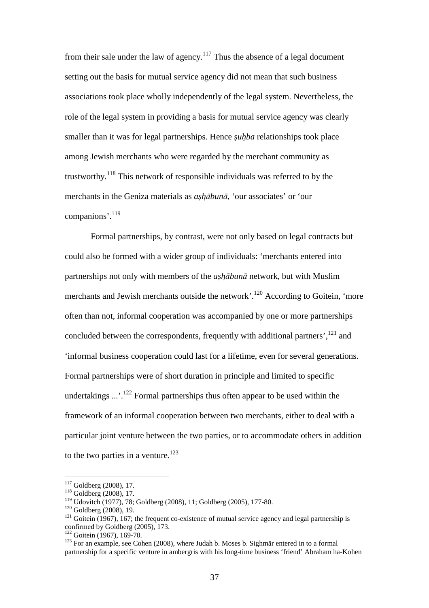from their sale under the law of agency.<sup>117</sup> Thus the absence of a legal document setting out the basis for mutual service agency did not mean that such business associations took place wholly independently of the legal system. Nevertheless, the role of the legal system in providing a basis for mutual service agency was clearly smaller than it was for legal partnerships. Hence *suhba* relationships took place among Jewish merchants who were regarded by the merchant community as trustworthy.<sup>118</sup> This network of responsible individuals was referred to by the merchants in the Geniza materials as *ashābunā*, 'our associates' or 'our companions'.<sup>119</sup>

Formal partnerships, by contrast, were not only based on legal contracts but could also be formed with a wider group of individuals: 'merchants entered into partnerships not only with members of the *ashābunā* network, but with Muslim merchants and Jewish merchants outside the network'.<sup>120</sup> According to Goitein, 'more often than not, informal cooperation was accompanied by one or more partnerships concluded between the correspondents, frequently with additional partners',  $^{121}$  and 'informal business cooperation could last for a lifetime, even for several generations. Formal partnerships were of short duration in principle and limited to specific undertakings  $\ldots$ <sup>122</sup>. Formal partnerships thus often appear to be used within the framework of an informal cooperation between two merchants, either to deal with a particular joint venture between the two parties, or to accommodate others in addition to the two parties in a venture.<sup>123</sup>

 $\overline{a}$  $117$  Goldberg (2008), 17.

<sup>118</sup> Goldberg (2008), 17.

<sup>119</sup> Udovitch (1977), 78; Goldberg (2008), 11; Goldberg (2005), 177-80.

 $120$  Goldberg (2008), 19.

 $121$  Goitein (1967), 167; the frequent co-existence of mutual service agency and legal partnership is confirmed by Goldberg (2005), 173.

 $122$  Goitein (1967), 169-70.

<sup>&</sup>lt;sup>123</sup> For an example, see Cohen (2008), where Judah b. Moses b. Sighmar entered in to a formal partnership for a specific venture in ambergris with his long-time business 'friend' Abraham ha-Kohen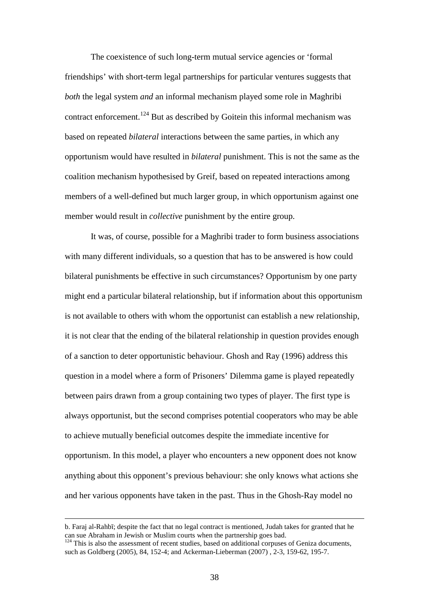The coexistence of such long-term mutual service agencies or 'formal friendships' with short-term legal partnerships for particular ventures suggests that *both* the legal system *and* an informal mechanism played some role in Maghribi contract enforcement.<sup>124</sup> But as described by Goitein this informal mechanism was based on repeated *bilateral* interactions between the same parties, in which any opportunism would have resulted in *bilateral* punishment. This is not the same as the coalition mechanism hypothesised by Greif, based on repeated interactions among members of a well-defined but much larger group, in which opportunism against one member would result in *collective* punishment by the entire group.

It was, of course, possible for a Maghribi trader to form business associations with many different individuals, so a question that has to be answered is how could bilateral punishments be effective in such circumstances? Opportunism by one party might end a particular bilateral relationship, but if information about this opportunism is not available to others with whom the opportunist can establish a new relationship, it is not clear that the ending of the bilateral relationship in question provides enough of a sanction to deter opportunistic behaviour. Ghosh and Ray (1996) address this question in a model where a form of Prisoners' Dilemma game is played repeatedly between pairs drawn from a group containing two types of player. The first type is always opportunist, but the second comprises potential cooperators who may be able to achieve mutually beneficial outcomes despite the immediate incentive for opportunism. In this model, a player who encounters a new opponent does not know anything about this opponent's previous behaviour: she only knows what actions she and her various opponents have taken in the past. Thus in the Ghosh-Ray model no

b. Faraj al-Rahbī; despite the fact that no legal contract is mentioned, Judah takes for granted that he can sue Abraham in Jewish or Muslim courts when the partnership goes bad.

<sup>&</sup>lt;sup>124</sup> This is also the assessment of recent studies, based on additional corpuses of Geniza documents, such as Goldberg (2005), 84, 152-4; and Ackerman-Lieberman (2007) , 2-3, 159-62, 195-7.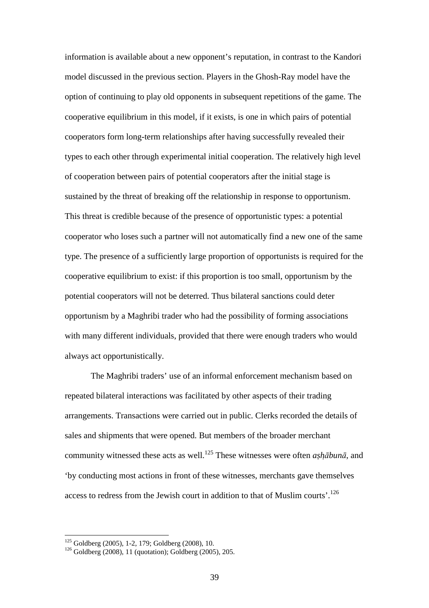information is available about a new opponent's reputation, in contrast to the Kandori model discussed in the previous section. Players in the Ghosh-Ray model have the option of continuing to play old opponents in subsequent repetitions of the game. The cooperative equilibrium in this model, if it exists, is one in which pairs of potential cooperators form long-term relationships after having successfully revealed their types to each other through experimental initial cooperation. The relatively high level of cooperation between pairs of potential cooperators after the initial stage is sustained by the threat of breaking off the relationship in response to opportunism. This threat is credible because of the presence of opportunistic types: a potential cooperator who loses such a partner will not automatically find a new one of the same type. The presence of a sufficiently large proportion of opportunists is required for the cooperative equilibrium to exist: if this proportion is too small, opportunism by the potential cooperators will not be deterred. Thus bilateral sanctions could deter opportunism by a Maghribi trader who had the possibility of forming associations with many different individuals, provided that there were enough traders who would always act opportunistically.

The Maghribi traders' use of an informal enforcement mechanism based on repeated bilateral interactions was facilitated by other aspects of their trading arrangements. Transactions were carried out in public. Clerks recorded the details of sales and shipments that were opened. But members of the broader merchant community witnessed these acts as well.<sup>125</sup> These witnesses were often *ashābunā*, and 'by conducting most actions in front of these witnesses, merchants gave themselves access to redress from the Jewish court in addition to that of Muslim courts'.<sup>126</sup>

 $125$  Goldberg (2005), 1-2, 179; Goldberg (2008), 10.

<sup>126</sup> Goldberg (2008), 11 (quotation); Goldberg (2005), 205.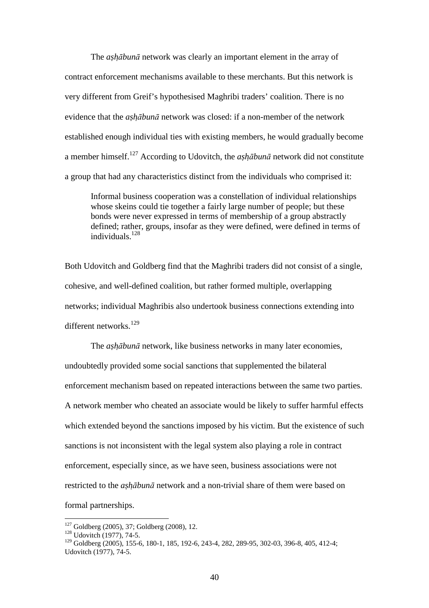The *ashābunā* network was clearly an important element in the array of contract enforcement mechanisms available to these merchants. But this network is very different from Greif's hypothesised Maghribi traders' coalition. There is no evidence that the *ashābunā* network was closed: if a non-member of the network established enough individual ties with existing members, he would gradually become a member himself.<sup>127</sup> According to Udovitch, the *ashābunā* network did not constitute a group that had any characteristics distinct from the individuals who comprised it:

Informal business cooperation was a constellation of individual relationships whose skeins could tie together a fairly large number of people; but these bonds were never expressed in terms of membership of a group abstractly defined; rather, groups, insofar as they were defined, were defined in terms of individuals.<sup>128</sup>

Both Udovitch and Goldberg find that the Maghribi traders did not consist of a single, cohesive, and well-defined coalition, but rather formed multiple, overlapping networks; individual Maghribis also undertook business connections extending into different networks.<sup>129</sup>

The *ashābunā* network, like business networks in many later economies, undoubtedly provided some social sanctions that supplemented the bilateral enforcement mechanism based on repeated interactions between the same two parties. A network member who cheated an associate would be likely to suffer harmful effects which extended beyond the sanctions imposed by his victim. But the existence of such sanctions is not inconsistent with the legal system also playing a role in contract enforcement, especially since, as we have seen, business associations were not restricted to the *ashābunā* network and a non-trivial share of them were based on formal partnerships.

<sup>&</sup>lt;sup>127</sup> Goldberg (2005), 37; Goldberg (2008), 12.

 $128$  Udovitch (1977), 74-5.

<sup>129</sup> Goldberg (2005), 155-6, 180-1, 185, 192-6, 243-4, 282, 289-95, 302-03, 396-8, 405, 412-4; Udovitch (1977), 74-5.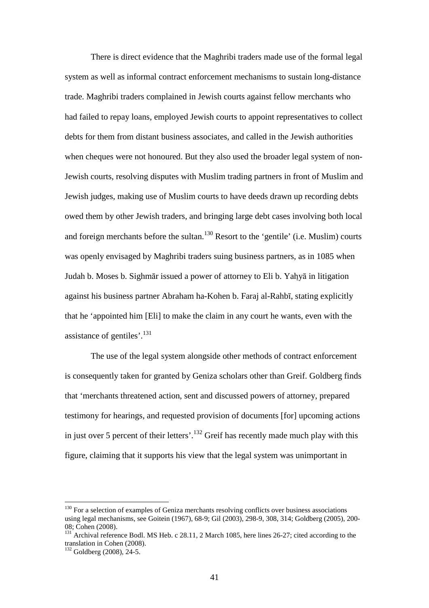There is direct evidence that the Maghribi traders made use of the formal legal system as well as informal contract enforcement mechanisms to sustain long-distance trade. Maghribi traders complained in Jewish courts against fellow merchants who had failed to repay loans, employed Jewish courts to appoint representatives to collect debts for them from distant business associates, and called in the Jewish authorities when cheques were not honoured. But they also used the broader legal system of non-Jewish courts, resolving disputes with Muslim trading partners in front of Muslim and Jewish judges, making use of Muslim courts to have deeds drawn up recording debts owed them by other Jewish traders, and bringing large debt cases involving both local and foreign merchants before the sultan.<sup>130</sup> Resort to the 'gentile' (i.e. Muslim) courts was openly envisaged by Maghribi traders suing business partners, as in 1085 when Judah b. Moses b. Sighmār issued a power of attorney to Eli b. Yahyā in litigation against his business partner Abraham ha-Kohen b. Faraj al-Rahbī, stating explicitly that he 'appointed him [Eli] to make the claim in any court he wants, even with the assistance of gentiles'. $^{131}$ 

The use of the legal system alongside other methods of contract enforcement is consequently taken for granted by Geniza scholars other than Greif. Goldberg finds that 'merchants threatened action, sent and discussed powers of attorney, prepared testimony for hearings, and requested provision of documents [for] upcoming actions in just over 5 percent of their letters'.<sup>132</sup> Greif has recently made much play with this figure, claiming that it supports his view that the legal system was unimportant in

 $130$  For a selection of examples of Geniza merchants resolving conflicts over business associations using legal mechanisms, see Goitein (1967), 68-9; Gil (2003), 298-9, 308, 314; Goldberg (2005), 200- 08; Cohen (2008).

<sup>&</sup>lt;sup>131</sup> Archival reference Bodl. MS Heb. c 28.11, 2 March 1085, here lines 26-27; cited according to the translation in Cohen (2008).

<sup>&</sup>lt;sup>132</sup> Goldberg (2008), 24-5.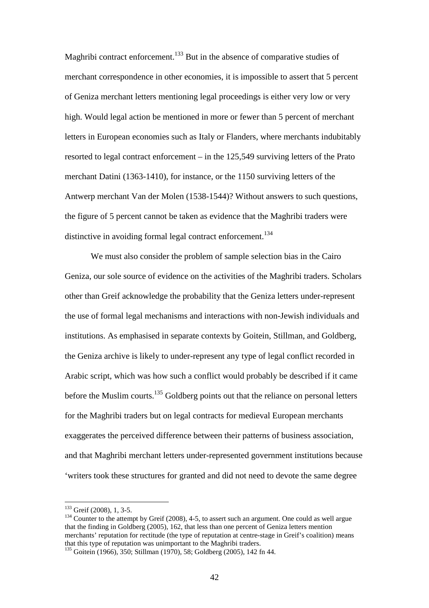Maghribi contract enforcement.<sup>133</sup> But in the absence of comparative studies of merchant correspondence in other economies, it is impossible to assert that 5 percent of Geniza merchant letters mentioning legal proceedings is either very low or very high. Would legal action be mentioned in more or fewer than 5 percent of merchant letters in European economies such as Italy or Flanders, where merchants indubitably resorted to legal contract enforcement – in the 125,549 surviving letters of the Prato merchant Datini (1363-1410), for instance, or the 1150 surviving letters of the Antwerp merchant Van der Molen (1538-1544)? Without answers to such questions, the figure of 5 percent cannot be taken as evidence that the Maghribi traders were distinctive in avoiding formal legal contract enforcement.<sup>134</sup>

We must also consider the problem of sample selection bias in the Cairo Geniza, our sole source of evidence on the activities of the Maghribi traders. Scholars other than Greif acknowledge the probability that the Geniza letters under-represent the use of formal legal mechanisms and interactions with non-Jewish individuals and institutions. As emphasised in separate contexts by Goitein, Stillman, and Goldberg, the Geniza archive is likely to under-represent any type of legal conflict recorded in Arabic script, which was how such a conflict would probably be described if it came before the Muslim courts.<sup>135</sup> Goldberg points out that the reliance on personal letters for the Maghribi traders but on legal contracts for medieval European merchants exaggerates the perceived difference between their patterns of business association, and that Maghribi merchant letters under-represented government institutions because 'writers took these structures for granted and did not need to devote the same degree

 $133$  Greif (2008), 1, 3-5.

<sup>&</sup>lt;sup>134</sup> Counter to the attempt by Greif (2008), 4-5, to assert such an argument. One could as well argue that the finding in Goldberg (2005), 162, that less than one percent of Geniza letters mention merchants' reputation for rectitude (the type of reputation at centre-stage in Greif's coalition) means that this type of reputation was unimportant to the Maghribi traders.

<sup>&</sup>lt;sup>135</sup> Goitein (1966), 350; Stillman (1970), 58; Goldberg (2005), 142 fn 44.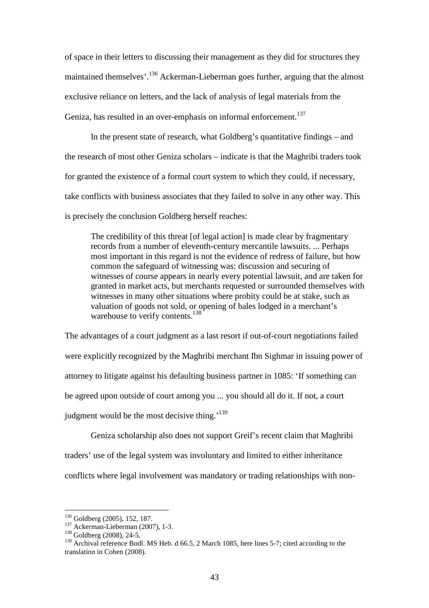of space in their letters to discussing their management as they did for structures they maintained themselves'.<sup>136</sup> Ackerman-Lieberman goes further, arguing that the almost exclusive reliance on letters, and the lack of analysis of legal materials from the Geniza, has resulted in an over-emphasis on informal enforcement.<sup>137</sup>

In the present state of research, what Goldberg's quantitative findings – and the research of most other Geniza scholars – indicate is that the Maghribi traders took for granted the existence of a formal court system to which they could, if necessary, take conflicts with business associates that they failed to solve in any other way. This is precisely the conclusion Goldberg herself reaches:

The credibility of this threat [of legal action] is made clear by fragmentary records from a number of eleventh-century mercantile lawsuits. ... Perhaps most important in this regard is not the evidence of redress of failure, but how common the safeguard of witnessing was: discussion and securing of witnesses of course appears in nearly every potential lawsuit, and are taken for granted in market acts, but merchants requested or surrounded themselves with witnesses in many other situations where probity could be at stake, such as valuation of goods not sold, or opening of bales lodged in a merchant's warehouse to verify contents.<sup>138</sup>

The advantages of a court judgment as a last resort if out-of-court negotiations failed were explicitly recognized by the Maghribi merchant Ibn Sighmar in issuing power of attorney to litigate against his defaulting business partner in 1085: 'If something can be agreed upon outside of court among you ... you should all do it. If not, a court judgment would be the most decisive thing.<sup>139</sup>

Geniza scholarship also does not support Greif's recent claim that Maghribi traders' use of the legal system was involuntary and limited to either inheritance conflicts where legal involvement was mandatory or trading relationships with non-

<sup>&</sup>lt;sup>136</sup> Goldberg (2005), 152, 187.

<sup>137</sup> Ackerman-Lieberman (2007), 1-3.

<sup>&</sup>lt;sup>138</sup> Goldberg (2008), 24-5.

<sup>&</sup>lt;sup>139</sup> Archival reference Bodl. MS Heb. d 66.5, 2 March 1085, here lines 5-7; cited according to the translation in Cohen (2008).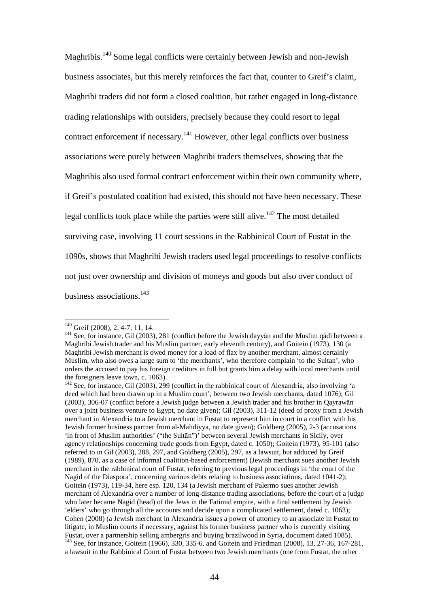Maghribis.<sup>140</sup> Some legal conflicts were certainly between Jewish and non-Jewish business associates, but this merely reinforces the fact that, counter to Greif's claim, Maghribi traders did not form a closed coalition, but rather engaged in long-distance trading relationships with outsiders, precisely because they could resort to legal contract enforcement if necessary.<sup>141</sup> However, other legal conflicts over business associations were purely between Maghribi traders themselves, showing that the Maghribis also used formal contract enforcement within their own community where, if Greif's postulated coalition had existed, this should not have been necessary. These legal conflicts took place while the parties were still alive.<sup>142</sup> The most detailed surviving case, involving 11 court sessions in the Rabbinical Court of Fustat in the 1090s, shows that Maghribi Jewish traders used legal proceedings to resolve conflicts not just over ownership and division of moneys and goods but also over conduct of business associations.<sup>143</sup>

 $140$  Greif (2008), 2, 4-7, 11, 14.

<sup>&</sup>lt;sup>141</sup> See, for instance, Gil (2003), 281 (conflict before the Jewish dayyan and the Muslim qadī between a Maghribi Jewish trader and his Muslim partner, early eleventh century), and Goitein (1973), 130 (a Maghribi Jewish merchant is owed money for a load of flax by another merchant, almost certainly Muslim, who also owes a large sum to 'the merchants', who therefore complain 'to the Sultan', who orders the accused to pay his foreign creditors in full but grants him a delay with local merchants until the foreigners leave town, c. 1063).

 $142$  See, for instance, Gil (2003), 299 (conflict in the rabbinical court of Alexandria, also involving 'a deed which had been drawn up in a Muslim court', between two Jewish merchants, dated 1076); Gil (2003), 306-07 (conflict before a Jewish judge between a Jewish trader and his brother in Qayrawān over a joint business venture to Egypt, no date given); Gil (2003), 311-12 (deed of proxy from a Jewish merchant in Alexandria to a Jewish merchant in Fustat to represent him in court in a conflict with his Jewish former business partner from al-Mahdiyya, no date given); Goldberg (2005), 2-3 (accusations 'in front of Muslim authorities' ("the Sultān")' between several Jewish merchants in Sicily, over agency relationships concerning trade goods from Egypt, dated c. 1050); Goitein (1973), 95-101 (also referred to in Gil (2003), 288, 297, and Goldberg (2005), 297, as a lawsuit, but adduced by Greif (1989), 870, as a case of informal coalition-based enforcement) (Jewish merchant sues another Jewish merchant in the rabbinical court of Fustat, referring to previous legal proceedings in 'the court of the Nagid of the Diaspora', concerning various debts relating to business associations, dated 1041-2); Goitein (1973), 119-34, here esp. 120, 134 (a Jewish merchant of Palermo sues another Jewish merchant of Alexandria over a number of long-distance trading associations, before the court of a judge who later became Nagid (head) of the Jews in the Fatimid empire, with a final settlement by Jewish 'elders' who go through all the accounts and decide upon a complicated settlement, dated c. 1063); Cohen (2008) (a Jewish merchant in Alexandria issues a power of attorney to an associate in Fustat to litigate, in Muslim courts if necessary, against his former business partner who is currently visiting Fustat, over a partnership selling ambergris and buying brazilwood in Syria, document dated 1085). <sup>143</sup> See, for instance, Goitein (1966), 330, 335-6, and Goitein and Friedman (2008), 13, 27-36, 167-281,

a lawsuit in the Rabbinical Court of Fustat between two Jewish merchants (one from Fustat, the other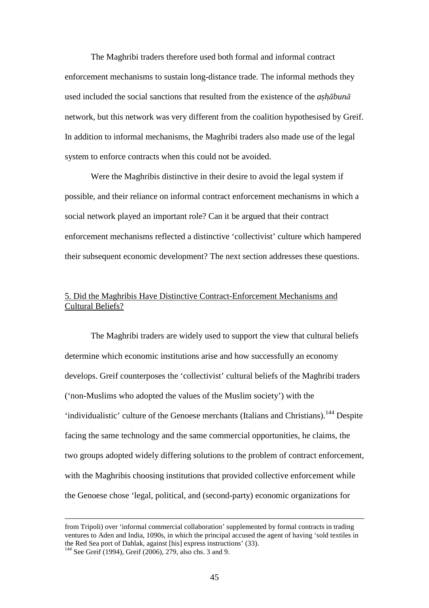The Maghribi traders therefore used both formal and informal contract enforcement mechanisms to sustain long-distance trade. The informal methods they used included the social sanctions that resulted from the existence of the *ashābunā* network, but this network was very different from the coalition hypothesised by Greif. In addition to informal mechanisms, the Maghribi traders also made use of the legal system to enforce contracts when this could not be avoided.

 Were the Maghribis distinctive in their desire to avoid the legal system if possible, and their reliance on informal contract enforcement mechanisms in which a social network played an important role? Can it be argued that their contract enforcement mechanisms reflected a distinctive 'collectivist' culture which hampered their subsequent economic development? The next section addresses these questions.

## 5. Did the Maghribis Have Distinctive Contract-Enforcement Mechanisms and Cultural Beliefs?

The Maghribi traders are widely used to support the view that cultural beliefs determine which economic institutions arise and how successfully an economy develops. Greif counterposes the 'collectivist' cultural beliefs of the Maghribi traders ('non-Muslims who adopted the values of the Muslim society') with the 'individualistic' culture of the Genoese merchants (Italians and Christians).<sup>144</sup> Despite facing the same technology and the same commercial opportunities, he claims, the two groups adopted widely differing solutions to the problem of contract enforcement, with the Maghribis choosing institutions that provided collective enforcement while the Genoese chose 'legal, political, and (second-party) economic organizations for

from Tripoli) over 'informal commercial collaboration' supplemented by formal contracts in trading ventures to Aden and India, 1090s, in which the principal accused the agent of having 'sold textiles in the Red Sea port of Dahlak, against [his] express instructions' (33).

<sup>144</sup> See Greif (1994), Greif (2006), 279, also chs. 3 and 9.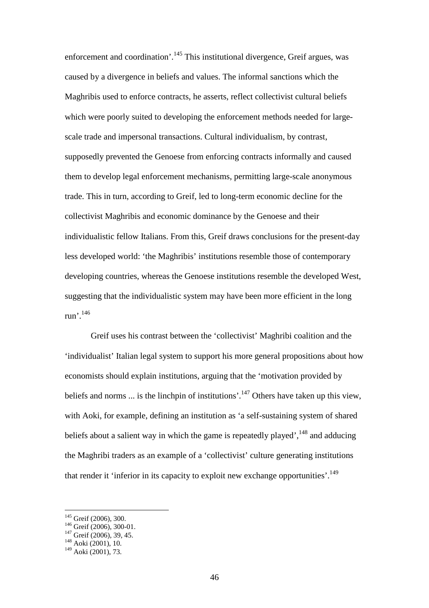enforcement and coordination'.<sup>145</sup> This institutional divergence, Greif argues, was caused by a divergence in beliefs and values. The informal sanctions which the Maghribis used to enforce contracts, he asserts, reflect collectivist cultural beliefs which were poorly suited to developing the enforcement methods needed for largescale trade and impersonal transactions. Cultural individualism, by contrast, supposedly prevented the Genoese from enforcing contracts informally and caused them to develop legal enforcement mechanisms, permitting large-scale anonymous trade. This in turn, according to Greif, led to long-term economic decline for the collectivist Maghribis and economic dominance by the Genoese and their individualistic fellow Italians. From this, Greif draws conclusions for the present-day less developed world: 'the Maghribis' institutions resemble those of contemporary developing countries, whereas the Genoese institutions resemble the developed West, suggesting that the individualistic system may have been more efficient in the long run'.<sup>146</sup>

Greif uses his contrast between the 'collectivist' Maghribi coalition and the 'individualist' Italian legal system to support his more general propositions about how economists should explain institutions, arguing that the 'motivation provided by beliefs and norms  $\ldots$  is the linchpin of institutions'.<sup>147</sup> Others have taken up this view, with Aoki, for example, defining an institution as 'a self-sustaining system of shared beliefs about a salient way in which the game is repeatedly played',  $148$  and adducing the Maghribi traders as an example of a 'collectivist' culture generating institutions that render it 'inferior in its capacity to exploit new exchange opportunities'.<sup>149</sup>

<sup>&</sup>lt;sup>145</sup> Greif (2006), 300.

 $146$  Greif (2006), 300-01.

 $147$  Greif (2006), 39, 45.

<sup>148</sup> Aoki (2001), 10.

<sup>149</sup> Aoki (2001), 73.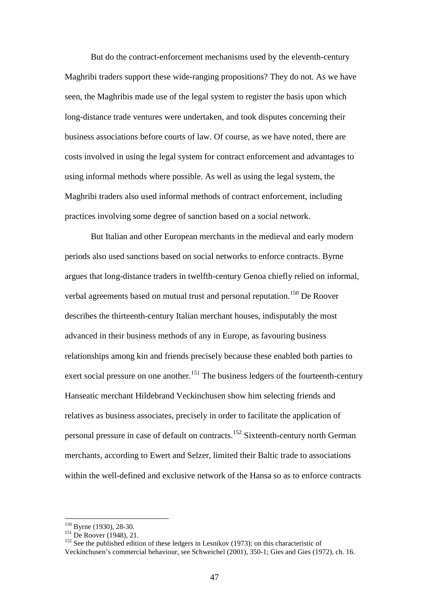But do the contract-enforcement mechanisms used by the eleventh-century Maghribi traders support these wide-ranging propositions? They do not. As we have seen, the Maghribis made use of the legal system to register the basis upon which long-distance trade ventures were undertaken, and took disputes concerning their business associations before courts of law. Of course, as we have noted, there are costs involved in using the legal system for contract enforcement and advantages to using informal methods where possible. As well as using the legal system, the Maghribi traders also used informal methods of contract enforcement, including practices involving some degree of sanction based on a social network.

But Italian and other European merchants in the medieval and early modern periods also used sanctions based on social networks to enforce contracts. Byrne argues that long-distance traders in twelfth-century Genoa chiefly relied on informal, verbal agreements based on mutual trust and personal reputation.<sup>150</sup> De Roover describes the thirteenth-century Italian merchant houses, indisputably the most advanced in their business methods of any in Europe, as favouring business relationships among kin and friends precisely because these enabled both parties to exert social pressure on one another.<sup>151</sup> The business ledgers of the fourteenth-century Hanseatic merchant Hildebrand Veckinchusen show him selecting friends and relatives as business associates, precisely in order to facilitate the application of personal pressure in case of default on contracts.<sup>152</sup> Sixteenth-century north German merchants, according to Ewert and Selzer, limited their Baltic trade to associations within the well-defined and exclusive network of the Hansa so as to enforce contracts

<sup>&</sup>lt;sup>150</sup> Byrne (1930), 28-30.

 $151$  De Roover (1948), 21.

 $152$  See the published edition of these ledgers in Lesnikov (1973); on this characteristic of

Veckinchusen's commercial behaviour, see Schweichel (2001), 350-1; Gies and Gies (1972), ch. 16.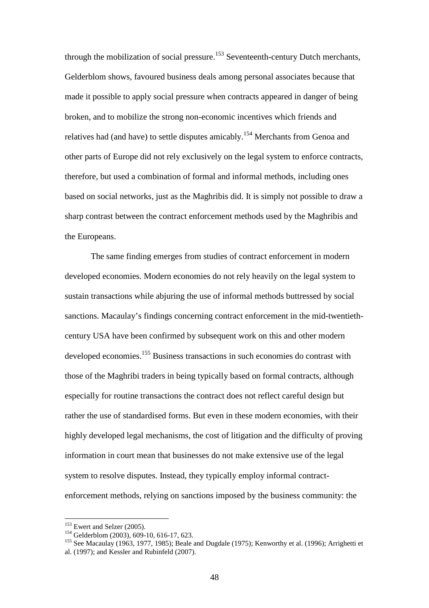through the mobilization of social pressure.<sup>153</sup> Seventeenth-century Dutch merchants, Gelderblom shows, favoured business deals among personal associates because that made it possible to apply social pressure when contracts appeared in danger of being broken, and to mobilize the strong non-economic incentives which friends and relatives had (and have) to settle disputes amicably.<sup>154</sup> Merchants from Genoa and other parts of Europe did not rely exclusively on the legal system to enforce contracts, therefore, but used a combination of formal and informal methods, including ones based on social networks, just as the Maghribis did. It is simply not possible to draw a sharp contrast between the contract enforcement methods used by the Maghribis and the Europeans.

The same finding emerges from studies of contract enforcement in modern developed economies. Modern economies do not rely heavily on the legal system to sustain transactions while abjuring the use of informal methods buttressed by social sanctions. Macaulay's findings concerning contract enforcement in the mid-twentiethcentury USA have been confirmed by subsequent work on this and other modern developed economies.<sup>155</sup> Business transactions in such economies do contrast with those of the Maghribi traders in being typically based on formal contracts, although especially for routine transactions the contract does not reflect careful design but rather the use of standardised forms. But even in these modern economies, with their highly developed legal mechanisms, the cost of litigation and the difficulty of proving information in court mean that businesses do not make extensive use of the legal system to resolve disputes. Instead, they typically employ informal contractenforcement methods, relying on sanctions imposed by the business community: the

<sup>&</sup>lt;sup>153</sup> Ewert and Selzer (2005).

 $^{154}$  Gelderblom (2003), 609-10, 616-17, 623.

<sup>&</sup>lt;sup>155</sup> See Macaulay (1963, 1977, 1985); Beale and Dugdale (1975); Kenworthy et al. (1996); Arrighetti et al. (1997); and Kessler and Rubinfeld (2007).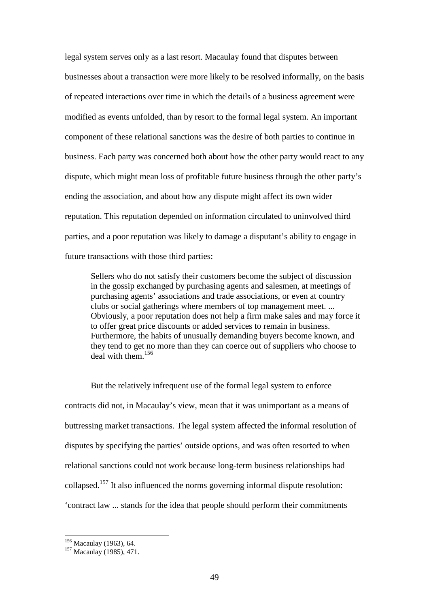legal system serves only as a last resort. Macaulay found that disputes between businesses about a transaction were more likely to be resolved informally, on the basis of repeated interactions over time in which the details of a business agreement were modified as events unfolded, than by resort to the formal legal system. An important component of these relational sanctions was the desire of both parties to continue in business. Each party was concerned both about how the other party would react to any dispute, which might mean loss of profitable future business through the other party's ending the association, and about how any dispute might affect its own wider reputation. This reputation depended on information circulated to uninvolved third parties, and a poor reputation was likely to damage a disputant's ability to engage in future transactions with those third parties:

 Sellers who do not satisfy their customers become the subject of discussion in the gossip exchanged by purchasing agents and salesmen, at meetings of purchasing agents' associations and trade associations, or even at country clubs or social gatherings where members of top management meet. ... Obviously, a poor reputation does not help a firm make sales and may force it to offer great price discounts or added services to remain in business. Furthermore, the habits of unusually demanding buyers become known, and they tend to get no more than they can coerce out of suppliers who choose to deal with them.<sup>156</sup>

But the relatively infrequent use of the formal legal system to enforce contracts did not, in Macaulay's view, mean that it was unimportant as a means of buttressing market transactions. The legal system affected the informal resolution of disputes by specifying the parties' outside options, and was often resorted to when relational sanctions could not work because long-term business relationships had collapsed.<sup>157</sup> It also influenced the norms governing informal dispute resolution: 'contract law ... stands for the idea that people should perform their commitments

<sup>&</sup>lt;sup>156</sup> Macaulay (1963), 64.

<sup>&</sup>lt;sup>157</sup> Macaulay (1985), 471.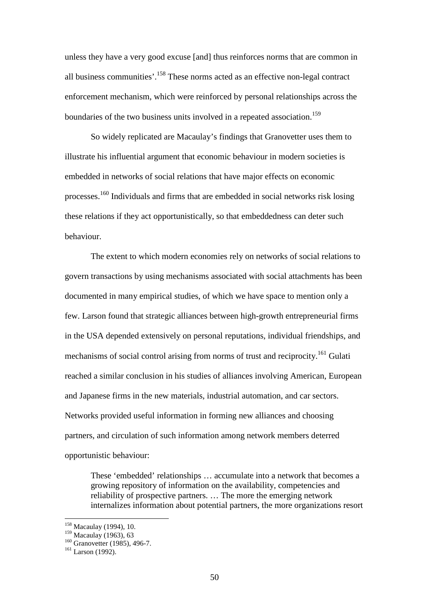unless they have a very good excuse [and] thus reinforces norms that are common in all business communities'.<sup>158</sup> These norms acted as an effective non-legal contract enforcement mechanism, which were reinforced by personal relationships across the boundaries of the two business units involved in a repeated association.<sup>159</sup>

So widely replicated are Macaulay's findings that Granovetter uses them to illustrate his influential argument that economic behaviour in modern societies is embedded in networks of social relations that have major effects on economic processes.<sup>160</sup> Individuals and firms that are embedded in social networks risk losing these relations if they act opportunistically, so that embeddedness can deter such behaviour.

The extent to which modern economies rely on networks of social relations to govern transactions by using mechanisms associated with social attachments has been documented in many empirical studies, of which we have space to mention only a few. Larson found that strategic alliances between high-growth entrepreneurial firms in the USA depended extensively on personal reputations, individual friendships, and mechanisms of social control arising from norms of trust and reciprocity.<sup>161</sup> Gulati reached a similar conclusion in his studies of alliances involving American, European and Japanese firms in the new materials, industrial automation, and car sectors. Networks provided useful information in forming new alliances and choosing partners, and circulation of such information among network members deterred opportunistic behaviour:

These 'embedded' relationships … accumulate into a network that becomes a growing repository of information on the availability, competencies and reliability of prospective partners. … The more the emerging network internalizes information about potential partners, the more organizations resort

<sup>&</sup>lt;sup>158</sup> Macaulay (1994), 10.

<sup>&</sup>lt;sup>159</sup> Macaulay (1963), 63

<sup>&</sup>lt;sup>160</sup> Granovetter (1985), 496-7.

<sup>161</sup> Larson (1992).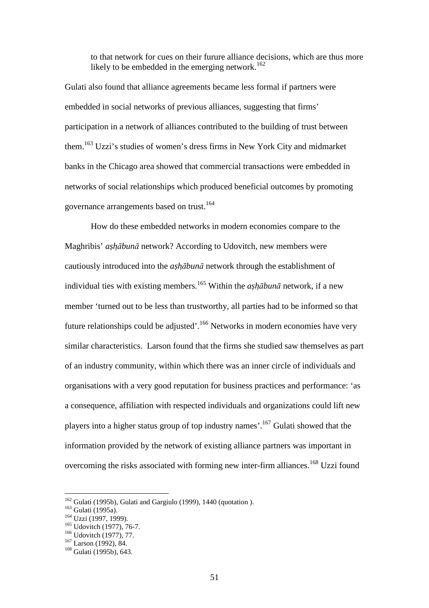to that network for cues on their furure alliance decisions, which are thus more likely to be embedded in the emerging network.<sup>162</sup>

Gulati also found that alliance agreements became less formal if partners were embedded in social networks of previous alliances, suggesting that firms' participation in a network of alliances contributed to the building of trust between them.<sup>163</sup> Uzzi's studies of women's dress firms in New York City and midmarket banks in the Chicago area showed that commercial transactions were embedded in networks of social relationships which produced beneficial outcomes by promoting governance arrangements based on trust.<sup>164</sup>

 How do these embedded networks in modern economies compare to the Maghribis' *ashābunā* network? According to Udovitch, new members were cautiously introduced into the *ashābunā* network through the establishment of individual ties with existing members.<sup>165</sup> Within the *ashabuna* network, if a new member 'turned out to be less than trustworthy, all parties had to be informed so that future relationships could be adjusted'.<sup>166</sup> Networks in modern economies have very similar characteristics. Larson found that the firms she studied saw themselves as part of an industry community, within which there was an inner circle of individuals and organisations with a very good reputation for business practices and performance: 'as a consequence, affiliation with respected individuals and organizations could lift new players into a higher status group of top industry names'.<sup>167</sup> Gulati showed that the information provided by the network of existing alliance partners was important in overcoming the risks associated with forming new inter-firm alliances.<sup>168</sup> Uzzi found

 $162$  Gulati (1995b), Gulati and Gargiulo (1999), 1440 (quotation).

<sup>&</sup>lt;sup>163</sup> Gulati (1995a).

<sup>&</sup>lt;sup>164</sup> Uzzi (1997, 1999).

<sup>&</sup>lt;sup>165</sup> Udovitch (1977), 76-7.

<sup>&</sup>lt;sup>166</sup> Udovitch (1977), 77.

 $^{167}$  Larson (1992), 84.

<sup>&</sup>lt;sup>168</sup> Gulati (1995b), 643.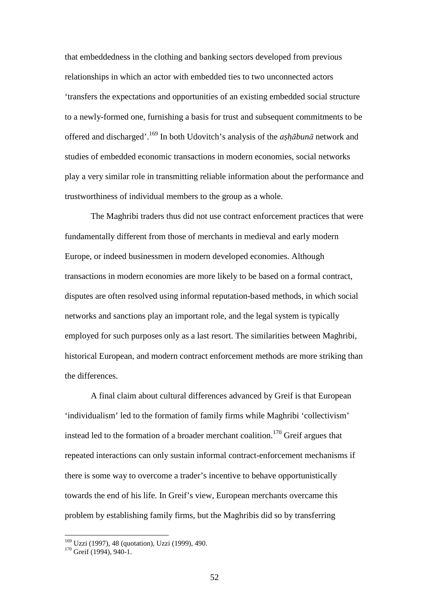that embeddedness in the clothing and banking sectors developed from previous relationships in which an actor with embedded ties to two unconnected actors 'transfers the expectations and opportunities of an existing embedded social structure to a newly-formed one, furnishing a basis for trust and subsequent commitments to be offered and discharged'.<sup>169</sup> In both Udovitch's analysis of the *ashābunā* network and studies of embedded economic transactions in modern economies, social networks play a very similar role in transmitting reliable information about the performance and trustworthiness of individual members to the group as a whole.

 The Maghribi traders thus did not use contract enforcement practices that were fundamentally different from those of merchants in medieval and early modern Europe, or indeed businessmen in modern developed economies. Although transactions in modern economies are more likely to be based on a formal contract, disputes are often resolved using informal reputation-based methods, in which social networks and sanctions play an important role, and the legal system is typically employed for such purposes only as a last resort. The similarities between Maghribi, historical European, and modern contract enforcement methods are more striking than the differences.

A final claim about cultural differences advanced by Greif is that European 'individualism' led to the formation of family firms while Maghribi 'collectivism' instead led to the formation of a broader merchant coalition.<sup>170</sup> Greif argues that repeated interactions can only sustain informal contract-enforcement mechanisms if there is some way to overcome a trader's incentive to behave opportunistically towards the end of his life. In Greif's view, European merchants overcame this problem by establishing family firms, but the Maghribis did so by transferring

<sup>&</sup>lt;sup>169</sup> Uzzi (1997), 48 (quotation), Uzzi (1999), 490.

 $170$  Greif (1994), 940-1.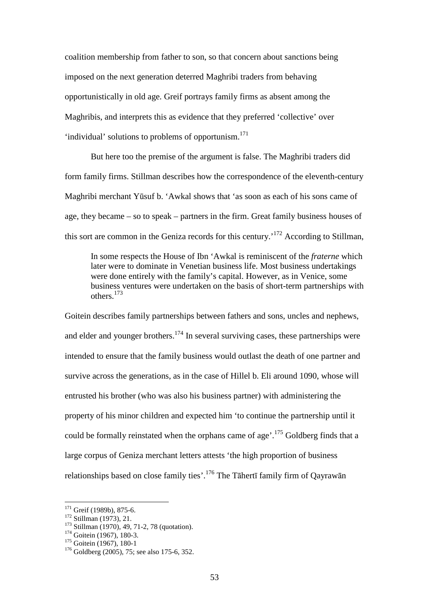coalition membership from father to son, so that concern about sanctions being imposed on the next generation deterred Maghribi traders from behaving opportunistically in old age. Greif portrays family firms as absent among the Maghribis, and interprets this as evidence that they preferred 'collective' over 'individual' solutions to problems of opportunism.<sup>171</sup>

But here too the premise of the argument is false. The Maghribi traders did form family firms. Stillman describes how the correspondence of the eleventh-century Maghribi merchant Yūsuf b. 'Awkal shows that 'as soon as each of his sons came of age, they became – so to speak – partners in the firm. Great family business houses of this sort are common in the Geniza records for this century.'<sup>172</sup> According to Stillman,

In some respects the House of Ibn 'Awkal is reminiscent of the *fraterne* which later were to dominate in Venetian business life. Most business undertakings were done entirely with the family's capital. However, as in Venice, some business ventures were undertaken on the basis of short-term partnerships with others.<sup>173</sup>

Goitein describes family partnerships between fathers and sons, uncles and nephews, and elder and younger brothers.<sup>174</sup> In several surviving cases, these partnerships were intended to ensure that the family business would outlast the death of one partner and survive across the generations, as in the case of Hillel b. Eli around 1090, whose will entrusted his brother (who was also his business partner) with administering the property of his minor children and expected him 'to continue the partnership until it could be formally reinstated when the orphans came of age'.<sup>175</sup> Goldberg finds that a large corpus of Geniza merchant letters attests 'the high proportion of business relationships based on close family ties'.<sup>176</sup> The Tāhertī family firm of Qayrawān

 $171$  Greif (1989b), 875-6.

<sup>&</sup>lt;sup>172</sup> Stillman (1973), 21.

<sup>&</sup>lt;sup>173</sup> Stillman (1970), 49, 71-2, 78 (quotation).

<sup>&</sup>lt;sup>174</sup> Goitein (1967), 180-3.

<sup>&</sup>lt;sup>175</sup> Goitein (1967), 180-1

<sup>176</sup> Goldberg (2005), 75; see also 175-6, 352.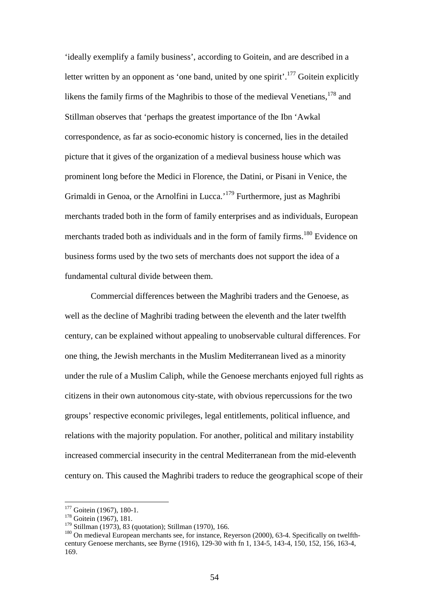'ideally exemplify a family business', according to Goitein, and are described in a letter written by an opponent as 'one band, united by one spirit'.<sup>177</sup> Goitein explicitly likens the family firms of the Maghribis to those of the medieval Venetians,  $178$  and Stillman observes that 'perhaps the greatest importance of the Ibn 'Awkal correspondence, as far as socio-economic history is concerned, lies in the detailed picture that it gives of the organization of a medieval business house which was prominent long before the Medici in Florence, the Datini, or Pisani in Venice, the Grimaldi in Genoa, or the Arnolfini in Lucca.<sup>'179</sup> Furthermore, just as Maghribi merchants traded both in the form of family enterprises and as individuals, European merchants traded both as individuals and in the form of family firms.<sup>180</sup> Evidence on business forms used by the two sets of merchants does not support the idea of a fundamental cultural divide between them.

Commercial differences between the Maghribi traders and the Genoese, as well as the decline of Maghribi trading between the eleventh and the later twelfth century, can be explained without appealing to unobservable cultural differences. For one thing, the Jewish merchants in the Muslim Mediterranean lived as a minority under the rule of a Muslim Caliph, while the Genoese merchants enjoyed full rights as citizens in their own autonomous city-state, with obvious repercussions for the two groups' respective economic privileges, legal entitlements, political influence, and relations with the majority population. For another, political and military instability increased commercial insecurity in the central Mediterranean from the mid-eleventh century on. This caused the Maghribi traders to reduce the geographical scope of their

 $177$  Goitein (1967), 180-1.

<sup>&</sup>lt;sup>178</sup> Goitein (1967), 181.

<sup>179</sup> Stillman (1973), 83 (quotation); Stillman (1970), 166.

<sup>180</sup> On medieval European merchants see, for instance, Reyerson (2000), 63-4. Specifically on twelfthcentury Genoese merchants, see Byrne (1916), 129-30 with fn 1, 134-5, 143-4, 150, 152, 156, 163-4, 169.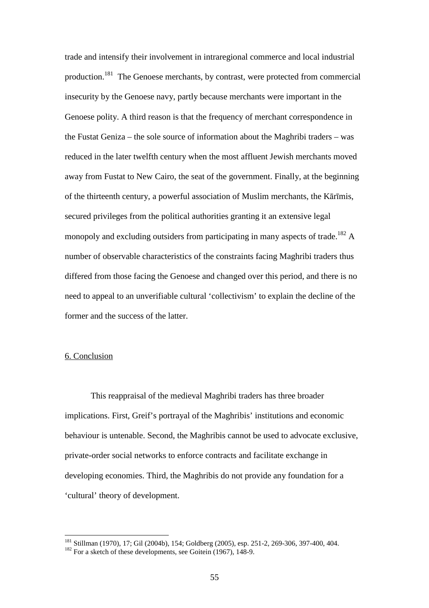trade and intensify their involvement in intraregional commerce and local industrial production.<sup>181</sup> The Genoese merchants, by contrast, were protected from commercial insecurity by the Genoese navy, partly because merchants were important in the Genoese polity. A third reason is that the frequency of merchant correspondence in the Fustat Geniza – the sole source of information about the Maghribi traders – was reduced in the later twelfth century when the most affluent Jewish merchants moved away from Fustat to New Cairo, the seat of the government. Finally, at the beginning of the thirteenth century, a powerful association of Muslim merchants, the Kārīmis, secured privileges from the political authorities granting it an extensive legal monopoly and excluding outsiders from participating in many aspects of trade.<sup>182</sup> A number of observable characteristics of the constraints facing Maghribi traders thus differed from those facing the Genoese and changed over this period, and there is no need to appeal to an unverifiable cultural 'collectivism' to explain the decline of the former and the success of the latter.

### 6. Conclusion

 $\overline{a}$ 

This reappraisal of the medieval Maghribi traders has three broader implications. First, Greif's portrayal of the Maghribis' institutions and economic behaviour is untenable. Second, the Maghribis cannot be used to advocate exclusive, private-order social networks to enforce contracts and facilitate exchange in developing economies. Third, the Maghribis do not provide any foundation for a 'cultural' theory of development.

<sup>181</sup> Stillman (1970), 17; Gil (2004b), 154; Goldberg (2005), esp. 251-2, 269-306, 397-400, 404.

 $182$  For a sketch of these developments, see Goitein (1967), 148-9.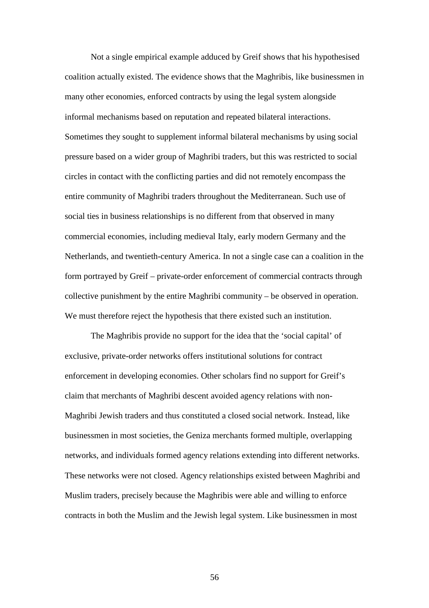Not a single empirical example adduced by Greif shows that his hypothesised coalition actually existed. The evidence shows that the Maghribis, like businessmen in many other economies, enforced contracts by using the legal system alongside informal mechanisms based on reputation and repeated bilateral interactions. Sometimes they sought to supplement informal bilateral mechanisms by using social pressure based on a wider group of Maghribi traders, but this was restricted to social circles in contact with the conflicting parties and did not remotely encompass the entire community of Maghribi traders throughout the Mediterranean. Such use of social ties in business relationships is no different from that observed in many commercial economies, including medieval Italy, early modern Germany and the Netherlands, and twentieth-century America. In not a single case can a coalition in the form portrayed by Greif – private-order enforcement of commercial contracts through collective punishment by the entire Maghribi community – be observed in operation. We must therefore reject the hypothesis that there existed such an institution.

The Maghribis provide no support for the idea that the 'social capital' of exclusive, private-order networks offers institutional solutions for contract enforcement in developing economies. Other scholars find no support for Greif's claim that merchants of Maghribi descent avoided agency relations with non-Maghribi Jewish traders and thus constituted a closed social network. Instead, like businessmen in most societies, the Geniza merchants formed multiple, overlapping networks, and individuals formed agency relations extending into different networks. These networks were not closed. Agency relationships existed between Maghribi and Muslim traders, precisely because the Maghribis were able and willing to enforce contracts in both the Muslim and the Jewish legal system. Like businessmen in most

56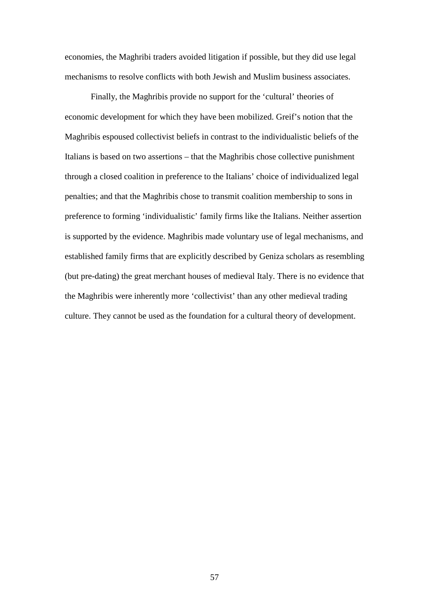economies, the Maghribi traders avoided litigation if possible, but they did use legal mechanisms to resolve conflicts with both Jewish and Muslim business associates.

Finally, the Maghribis provide no support for the 'cultural' theories of economic development for which they have been mobilized. Greif's notion that the Maghribis espoused collectivist beliefs in contrast to the individualistic beliefs of the Italians is based on two assertions – that the Maghribis chose collective punishment through a closed coalition in preference to the Italians' choice of individualized legal penalties; and that the Maghribis chose to transmit coalition membership to sons in preference to forming 'individualistic' family firms like the Italians. Neither assertion is supported by the evidence. Maghribis made voluntary use of legal mechanisms, and established family firms that are explicitly described by Geniza scholars as resembling (but pre-dating) the great merchant houses of medieval Italy. There is no evidence that the Maghribis were inherently more 'collectivist' than any other medieval trading culture. They cannot be used as the foundation for a cultural theory of development.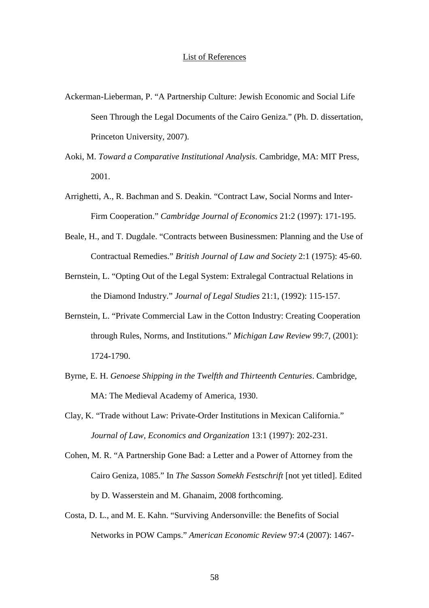- Ackerman-Lieberman, P. "A Partnership Culture: Jewish Economic and Social Life Seen Through the Legal Documents of the Cairo Geniza." (Ph. D. dissertation, Princeton University, 2007).
- Aoki, M. *Toward a Comparative Institutional Analysis*. Cambridge, MA: MIT Press, 2001.
- Arrighetti, A., R. Bachman and S. Deakin. "Contract Law, Social Norms and Inter-Firm Cooperation." *Cambridge Journal of Economics* 21:2 (1997): 171-195.
- Beale, H., and T. Dugdale. "Contracts between Businessmen: Planning and the Use of Contractual Remedies." *British Journal of Law and Society* 2:1 (1975): 45-60.
- Bernstein, L. "Opting Out of the Legal System: Extralegal Contractual Relations in the Diamond Industry." *Journal of Legal Studies* 21:1, (1992): 115-157.
- Bernstein, L. "Private Commercial Law in the Cotton Industry: Creating Cooperation through Rules, Norms, and Institutions." *Michigan Law Review* 99:7, (2001): 1724-1790.
- Byrne, E. H. *Genoese Shipping in the Twelfth and Thirteenth Centuries*. Cambridge, MA: The Medieval Academy of America, 1930.
- Clay, K. "Trade without Law: Private-Order Institutions in Mexican California." *Journal of Law, Economics and Organization* 13:1 (1997): 202-231.
- Cohen, M. R. "A Partnership Gone Bad: a Letter and a Power of Attorney from the Cairo Geniza, 1085." In *The Sasson Somekh Festschrift* [not yet titled]. Edited by D. Wasserstein and M. Ghanaim, 2008 forthcoming.
- Costa, D. L., and M. E. Kahn. "Surviving Andersonville: the Benefits of Social Networks in POW Camps." *American Economic Review* 97:4 (2007): 1467-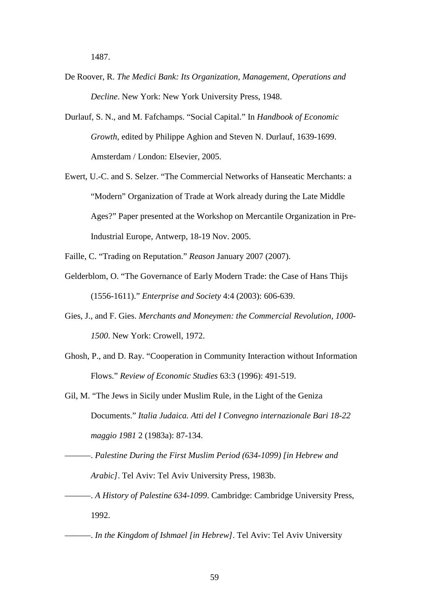- De Roover, R. *The Medici Bank: Its Organization, Management, Operations and Decline*. New York: New York University Press, 1948.
- Durlauf, S. N., and M. Fafchamps. "Social Capital." In *Handbook of Economic Growth*, edited by Philippe Aghion and Steven N. Durlauf, 1639-1699. Amsterdam / London: Elsevier, 2005.
- Ewert, U.-C. and S. Selzer. "The Commercial Networks of Hanseatic Merchants: a "Modern" Organization of Trade at Work already during the Late Middle Ages?" Paper presented at the Workshop on Mercantile Organization in Pre-Industrial Europe, Antwerp, 18-19 Nov. 2005.
- Faille, C. "Trading on Reputation." *Reason* January 2007 (2007).
- Gelderblom, O. "The Governance of Early Modern Trade: the Case of Hans Thijs (1556-1611)." *Enterprise and Society* 4:4 (2003): 606-639.
- Gies, J., and F. Gies. *Merchants and Moneymen: the Commercial Revolution, 1000- 1500*. New York: Crowell, 1972.
- Ghosh, P., and D. Ray. "Cooperation in Community Interaction without Information Flows." *Review of Economic Studies* 63:3 (1996): 491-519.
- Gil, M. "The Jews in Sicily under Muslim Rule, in the Light of the Geniza Documents." *Italia Judaica. Atti del I Convegno internazionale Bari 18-22 maggio 1981* 2 (1983a): 87-134.
- ———. *Palestine During the First Muslim Period (634-1099) [in Hebrew and Arabic]*. Tel Aviv: Tel Aviv University Press, 1983b.
- ———. *A History of Palestine 634-1099*. Cambridge: Cambridge University Press, 1992.
	- ———. *In the Kingdom of Ishmael [in Hebrew]*. Tel Aviv: Tel Aviv University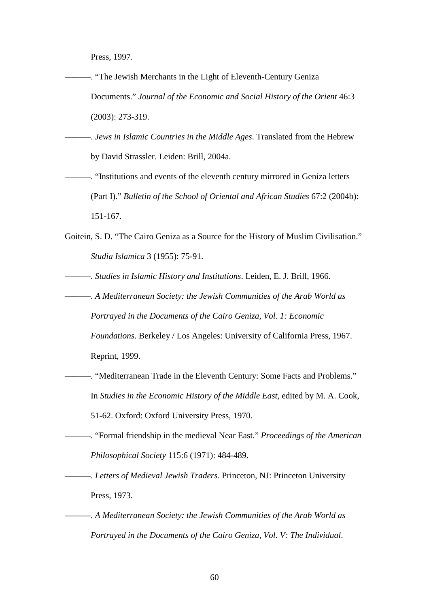Press, 1997.

- ———. "The Jewish Merchants in the Light of Eleventh-Century Geniza Documents." *Journal of the Economic and Social History of the Orient* 46:3 (2003): 273-319.
	- ———. *Jews in Islamic Countries in the Middle Ages*. Translated from the Hebrew by David Strassler. Leiden: Brill, 2004a.
	- ———. "Institutions and events of the eleventh century mirrored in Geniza letters (Part I)." *Bulletin of the School of Oriental and African Studies* 67:2 (2004b): 151-167.
- Goitein, S. D. "The Cairo Geniza as a Source for the History of Muslim Civilisation." *Studia Islamica* 3 (1955): 75-91.
	- ———. *Studies in Islamic History and Institutions*. Leiden, E. J. Brill, 1966.
	- ———. *A Mediterranean Society: the Jewish Communities of the Arab World as Portrayed in the Documents of the Cairo Geniza, Vol. 1: Economic Foundations*. Berkeley / Los Angeles: University of California Press, 1967. Reprint, 1999.
	- ———. "Mediterranean Trade in the Eleventh Century: Some Facts and Problems." In *Studies in the Economic History of the Middle East*, edited by M. A. Cook, 51-62. Oxford: Oxford University Press, 1970.
	- ———. "Formal friendship in the medieval Near East." *Proceedings of the American Philosophical Society* 115:6 (1971): 484-489.
	- ———. *Letters of Medieval Jewish Traders*. Princeton, NJ: Princeton University Press, 1973.
	- ———. *A Mediterranean Society: the Jewish Communities of the Arab World as Portrayed in the Documents of the Cairo Geniza, Vol. V: The Individual*.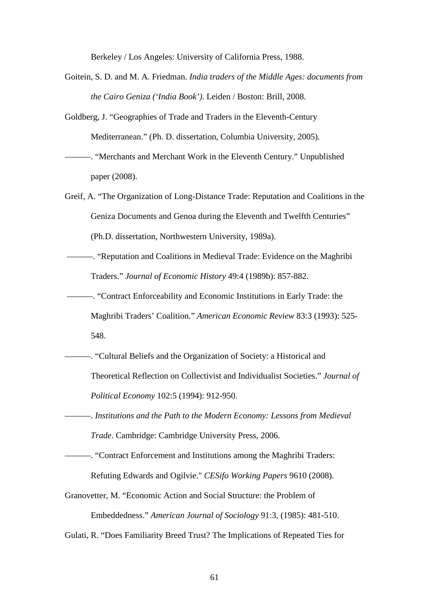Berkeley / Los Angeles: University of California Press, 1988.

- Goitein, S. D. and M. A. Friedman. *India traders of the Middle Ages: documents from the Cairo Geniza ('India Book')*. Leiden / Boston: Brill, 2008.
- Goldberg, J. "Geographies of Trade and Traders in the Eleventh-Century Mediterranean." (Ph. D. dissertation, Columbia University, 2005).
- ———. "Merchants and Merchant Work in the Eleventh Century." Unpublished paper (2008).
- Greif, A. "The Organization of Long-Distance Trade: Reputation and Coalitions in the Geniza Documents and Genoa during the Eleventh and Twelfth Centuries" (Ph.D. dissertation, Northwestern University, 1989a).
- ——. "Reputation and Coalitions in Medieval Trade: Evidence on the Maghribi Traders." *Journal of Economic History* 49:4 (1989b): 857-882.
	- ———. "Contract Enforceability and Economic Institutions in Early Trade: the Maghribi Traders' Coalition." *American Economic Review* 83:3 (1993): 525- 548.
- ———. "Cultural Beliefs and the Organization of Society: a Historical and Theoretical Reflection on Collectivist and Individualist Societies." *Journal of Political Economy* 102:5 (1994): 912-950.
- ———. *Institutions and the Path to the Modern Economy: Lessons from Medieval Trade*. Cambridge: Cambridge University Press, 2006.
- ———. "Contract Enforcement and Institutions among the Maghribi Traders: Refuting Edwards and Ogilvie." *CESifo Working Papers* 9610 (2008).
- Granovetter, M. "Economic Action and Social Structure: the Problem of Embeddedness." *American Journal of Sociology* 91:3, (1985): 481-510.
- Gulati, R. "Does Familiarity Breed Trust? The Implications of Repeated Ties for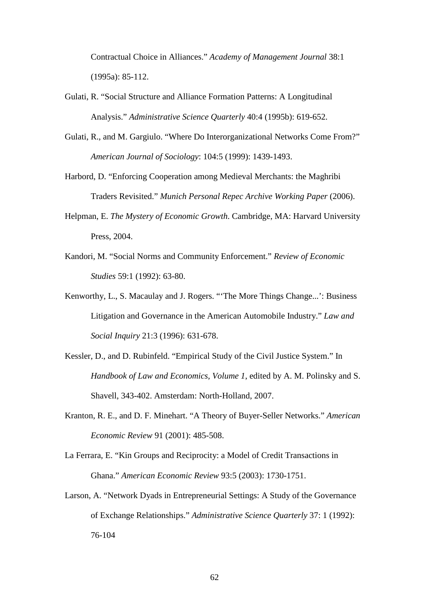Contractual Choice in Alliances." *Academy of Management Journal* 38:1 (1995a): 85-112.

- Gulati, R. "Social Structure and Alliance Formation Patterns: A Longitudinal Analysis." *Administrative Science Quarterly* 40:4 (1995b): 619-652.
- Gulati, R., and M. Gargiulo. "Where Do Interorganizational Networks Come From?" *American Journal of Sociology*: 104:5 (1999): 1439-1493.
- Harbord, D. "Enforcing Cooperation among Medieval Merchants: the Maghribi Traders Revisited." *Munich Personal Repec Archive Working Paper* (2006).
- Helpman, E. *The Mystery of Economic Growth*. Cambridge, MA: Harvard University Press, 2004.
- Kandori, M. "Social Norms and Community Enforcement." *Review of Economic Studies* 59:1 (1992): 63-80.
- Kenworthy, L., S. Macaulay and J. Rogers. "'The More Things Change...': Business Litigation and Governance in the American Automobile Industry." *Law and Social Inquiry* 21:3 (1996): 631-678.
- Kessler, D., and D. Rubinfeld. "Empirical Study of the Civil Justice System." In *Handbook of Law and Economics, Volume 1*, edited by A. M. Polinsky and S. Shavell, 343-402. Amsterdam: North-Holland, 2007.
- Kranton, R. E., and D. F. Minehart. "A Theory of Buyer-Seller Networks." *American Economic Review* 91 (2001): 485-508.
- La Ferrara, E. "Kin Groups and Reciprocity: a Model of Credit Transactions in Ghana." *American Economic Review* 93:5 (2003): 1730-1751.
- Larson, A. "Network Dyads in Entrepreneurial Settings: A Study of the Governance of Exchange Relationships." *Administrative Science Quarterly* 37: 1 (1992): 76-104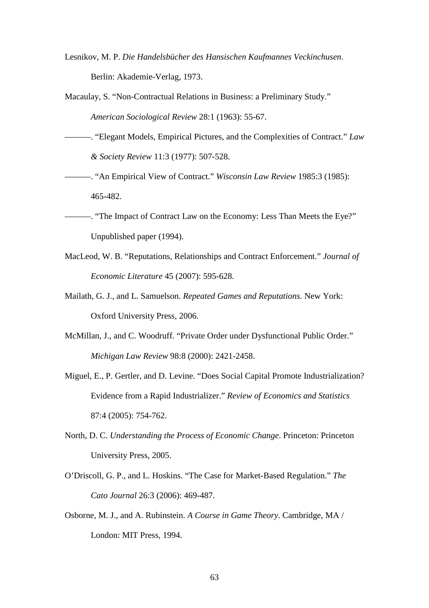- Lesnikov, M. P. *Die Handelsbücher des Hansischen Kaufmannes Veckinchusen*. Berlin: Akademie-Verlag, 1973.
- Macaulay, S. "Non-Contractual Relations in Business: a Preliminary Study." *American Sociological Review* 28:1 (1963): 55-67.

———. "Elegant Models, Empirical Pictures, and the Complexities of Contract." *Law & Society Review* 11:3 (1977): 507-528.

- ———. "An Empirical View of Contract." *Wisconsin Law Review* 1985:3 (1985): 465-482.
- ———. "The Impact of Contract Law on the Economy: Less Than Meets the Eye?" Unpublished paper (1994).
- MacLeod, W. B. "Reputations, Relationships and Contract Enforcement." *Journal of Economic Literature* 45 (2007): 595-628.
- Mailath, G. J., and L. Samuelson. *Repeated Games and Reputations.* New York: Oxford University Press, 2006.
- McMillan, J., and C. Woodruff. "Private Order under Dysfunctional Public Order." *Michigan Law Review* 98:8 (2000): 2421-2458.
- Miguel, E., P. Gertler, and D. Levine. "Does Social Capital Promote Industrialization? Evidence from a Rapid Industrializer." *Review of Economics and Statistics* 87:4 (2005): 754-762.
- North, D. C. *Understanding the Process of Economic Change*. Princeton: Princeton University Press, 2005.
- O'Driscoll, G. P., and L. Hoskins. "The Case for Market-Based Regulation." *The Cato Journal* 26:3 (2006): 469-487.
- Osborne, M. J., and A. Rubinstein. *A Course in Game Theory*. Cambridge, MA / London: MIT Press, 1994.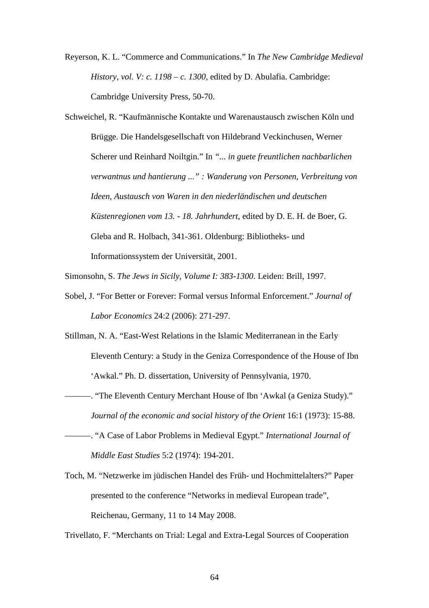Reyerson, K. L. "Commerce and Communications." In *The New Cambridge Medieval History, vol. V: c. 1198 – c. 1300*, edited by D. Abulafia. Cambridge: Cambridge University Press, 50-70.

Schweichel, R. "Kaufmännische Kontakte und Warenaustausch zwischen Köln und Brügge. Die Handelsgesellschaft von Hildebrand Veckinchusen, Werner Scherer und Reinhard Noiltgin." In *"... in guete freuntlichen nachbarlichen verwantnus und hantierung ..." : Wanderung von Personen, Verbreitung von Ideen, Austausch von Waren in den niederländischen und deutschen Küstenregionen vom 13. - 18. Jahrhundert*, edited by D. E. H. de Boer, G. Gleba and R. Holbach, 341-361. Oldenburg: Bibliotheks- und Informationssystem der Universität, 2001.

Simonsohn, S. *The Jews in Sicily, Volume I: 383-1300*. Leiden: Brill, 1997.

- Sobel, J. "For Better or Forever: Formal versus Informal Enforcement." *Journal of Labor Economics* 24:2 (2006): 271-297.
- Stillman, N. A. "East-West Relations in the Islamic Mediterranean in the Early Eleventh Century: a Study in the Geniza Correspondence of the House of Ibn 'Awkal." Ph. D. dissertation, University of Pennsylvania, 1970.
- ———. "The Eleventh Century Merchant House of Ibn 'Awkal (a Geniza Study)." *Journal of the economic and social history of the Orient* 16:1 (1973): 15-88.
- ———. "A Case of Labor Problems in Medieval Egypt." *International Journal of Middle East Studies* 5:2 (1974): 194-201.
- Toch, M. "Netzwerke im jüdischen Handel des Früh- und Hochmittelalters?" Paper presented to the conference "Networks in medieval European trade", Reichenau, Germany, 11 to 14 May 2008.

Trivellato, F. "Merchants on Trial: Legal and Extra-Legal Sources of Cooperation